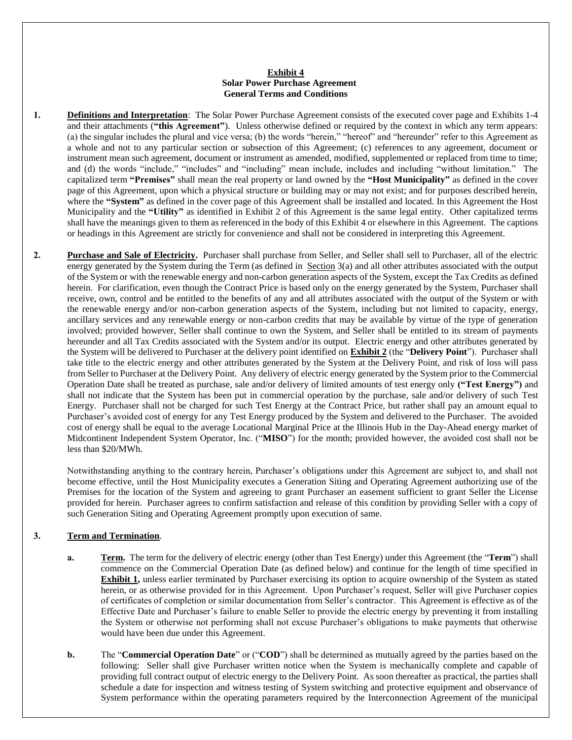#### **Exhibit 4 Solar Power Purchase Agreement General Terms and Conditions**

- **1. Definitions and Interpretation**: The Solar Power Purchase Agreement consists of the executed cover page and Exhibits 1-4 and their attachments (**"this Agreement"**). Unless otherwise defined or required by the context in which any term appears: (a) the singular includes the plural and vice versa; (b) the words "herein," "hereof" and "hereunder" refer to this Agreement as a whole and not to any particular section or subsection of this Agreement; (c) references to any agreement, document or instrument mean such agreement, document or instrument as amended, modified, supplemented or replaced from time to time; and (d) the words "include," "includes" and "including" mean include, includes and including "without limitation." The capitalized term **"Premises"** shall mean the real property or land owned by the **"Host Municipality"** as defined in the cover page of this Agreement, upon which a physical structure or building may or may not exist; and for purposes described herein, where the **"System"** as defined in the cover page of this Agreement shall be installed and located. In this Agreement the Host Municipality and the **"Utility"** as identified in Exhibit 2 of this Agreement is the same legal entity. Other capitalized terms shall have the meanings given to them as referenced in the body of this Exhibit 4 or elsewhere in this Agreement. The captions or headings in this Agreement are strictly for convenience and shall not be considered in interpreting this Agreement.
- **2. Purchase and Sale of Electricity.** Purchaser shall purchase from Seller, and Seller shall sell to Purchaser, all of the electric energy generated by the System during the Term (as defined in Section 3(a) and all other attributes associated with the output of the System or with the renewable energy and non-carbon generation aspects of the System, except the Tax Credits as defined herein. For clarification, even though the Contract Price is based only on the energy generated by the System, Purchaser shall receive, own, control and be entitled to the benefits of any and all attributes associated with the output of the System or with the renewable energy and/or non-carbon generation aspects of the System, including but not limited to capacity, energy, ancillary services and any renewable energy or non-carbon credits that may be available by virtue of the type of generation involved; provided however, Seller shall continue to own the System, and Seller shall be entitled to its stream of payments hereunder and all Tax Credits associated with the System and/or its output. Electric energy and other attributes generated by the System will be delivered to Purchaser at the delivery point identified on **Exhibit 2** (the "**Delivery Point**"). Purchaser shall take title to the electric energy and other attributes generated by the System at the Delivery Point, and risk of loss will pass from Seller to Purchaser at the Delivery Point. Any delivery of electric energy generated by the System prior to the Commercial Operation Date shall be treated as purchase, sale and/or delivery of limited amounts of test energy only **("Test Energy")** and shall not indicate that the System has been put in commercial operation by the purchase, sale and/or delivery of such Test Energy. Purchaser shall not be charged for such Test Energy at the Contract Price, but rather shall pay an amount equal to Purchaser's avoided cost of energy for any Test Energy produced by the System and delivered to the Purchaser. The avoided cost of energy shall be equal to the average Locational Marginal Price at the Illinois Hub in the Day-Ahead energy market of Midcontinent Independent System Operator, Inc. ("**MISO**") for the month; provided however, the avoided cost shall not be less than \$20/MWh.

Notwithstanding anything to the contrary herein, Purchaser's obligations under this Agreement are subject to, and shall not become effective, until the Host Municipality executes a Generation Siting and Operating Agreement authorizing use of the Premises for the location of the System and agreeing to grant Purchaser an easement sufficient to grant Seller the License provided for herein. Purchaser agrees to confirm satisfaction and release of this condition by providing Seller with a copy of such Generation Siting and Operating Agreement promptly upon execution of same.

### **3. Term and Termination**.

- **a. Term.** The term for the delivery of electric energy (other than Test Energy) under this Agreement (the "**Term**") shall commence on the Commercial Operation Date (as defined below) and continue for the length of time specified in **Exhibit 1,** unless earlier terminated by Purchaser exercising its option to acquire ownership of the System as stated herein, or as otherwise provided for in this Agreement. Upon Purchaser's request, Seller will give Purchaser copies of certificates of completion or similar documentation from Seller's contractor. This Agreement is effective as of the Effective Date and Purchaser's failure to enable Seller to provide the electric energy by preventing it from installing the System or otherwise not performing shall not excuse Purchaser's obligations to make payments that otherwise would have been due under this Agreement.
- **b.** The "**Commercial Operation Date**" or ("**COD**") shall be determined as mutually agreed by the parties based on the following: Seller shall give Purchaser written notice when the System is mechanically complete and capable of providing full contract output of electric energy to the Delivery Point. As soon thereafter as practical, the parties shall schedule a date for inspection and witness testing of System switching and protective equipment and observance of System performance within the operating parameters required by the Interconnection Agreement of the municipal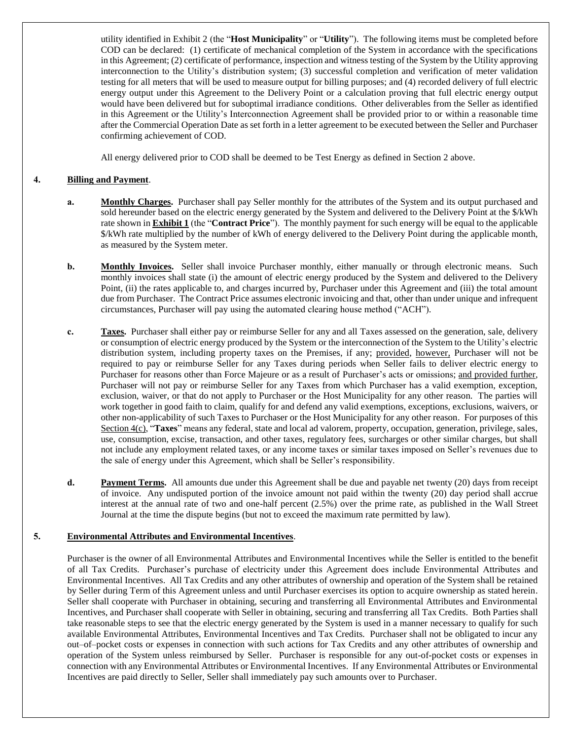utility identified in Exhibit 2 (the "**Host Municipality**" or "**Utility**"). The following items must be completed before COD can be declared: (1) certificate of mechanical completion of the System in accordance with the specifications in this Agreement; (2) certificate of performance, inspection and witness testing of the System by the Utility approving interconnection to the Utility's distribution system; (3) successful completion and verification of meter validation testing for all meters that will be used to measure output for billing purposes; and (4) recorded delivery of full electric energy output under this Agreement to the Delivery Point or a calculation proving that full electric energy output would have been delivered but for suboptimal irradiance conditions. Other deliverables from the Seller as identified in this Agreement or the Utility's Interconnection Agreement shall be provided prior to or within a reasonable time after the Commercial Operation Date as set forth in a letter agreement to be executed between the Seller and Purchaser confirming achievement of COD.

All energy delivered prior to COD shall be deemed to be Test Energy as defined in Section 2 above.

## **4. Billing and Payment**.

- **a. Monthly Charges.** Purchaser shall pay Seller monthly for the attributes of the System and its output purchased and sold hereunder based on the electric energy generated by the System and delivered to the Delivery Point at the \$/kWh rate shown in **Exhibit 1** (the "**Contract Price**"). The monthly payment for such energy will be equal to the applicable \$/kWh rate multiplied by the number of kWh of energy delivered to the Delivery Point during the applicable month, as measured by the System meter.
- **b. Monthly Invoices.** Seller shall invoice Purchaser monthly, either manually or through electronic means. Such monthly invoices shall state (i) the amount of electric energy produced by the System and delivered to the Delivery Point, (ii) the rates applicable to, and charges incurred by, Purchaser under this Agreement and (iii) the total amount due from Purchaser. The Contract Price assumes electronic invoicing and that, other than under unique and infrequent circumstances, Purchaser will pay using the automated clearing house method ("ACH").
- **c. Taxes.** Purchaser shall either pay or reimburse Seller for any and all Taxes assessed on the generation, sale, delivery or consumption of electric energy produced by the System or the interconnection of the System to the Utility's electric distribution system, including property taxes on the Premises, if any; provided, however, Purchaser will not be required to pay or reimburse Seller for any Taxes during periods when Seller fails to deliver electric energy to Purchaser for reasons other than Force Majeure or as a result of Purchaser's acts or omissions; and provided further, Purchaser will not pay or reimburse Seller for any Taxes from which Purchaser has a valid exemption, exception, exclusion, waiver, or that do not apply to Purchaser or the Host Municipality for any other reason. The parties will work together in good faith to claim, qualify for and defend any valid exemptions, exceptions, exclusions, waivers, or other non-applicability of such Taxes to Purchaser or the Host Municipality for any other reason. For purposes of this Section 4(c), "**Taxes**" means any federal, state and local ad valorem, property, occupation, generation, privilege, sales, use, consumption, excise, transaction, and other taxes, regulatory fees, surcharges or other similar charges, but shall not include any employment related taxes, or any income taxes or similar taxes imposed on Seller's revenues due to the sale of energy under this Agreement, which shall be Seller's responsibility.
- **d. Payment Terms.** All amounts due under this Agreement shall be due and payable net twenty (20) days from receipt of invoice. Any undisputed portion of the invoice amount not paid within the twenty (20) day period shall accrue interest at the annual rate of two and one-half percent (2.5%) over the prime rate, as published in the Wall Street Journal at the time the dispute begins (but not to exceed the maximum rate permitted by law).

### **5. Environmental Attributes and Environmental Incentives**.

Purchaser is the owner of all Environmental Attributes and Environmental Incentives while the Seller is entitled to the benefit of all Tax Credits. Purchaser's purchase of electricity under this Agreement does include Environmental Attributes and Environmental Incentives. All Tax Credits and any other attributes of ownership and operation of the System shall be retained by Seller during Term of this Agreement unless and until Purchaser exercises its option to acquire ownership as stated herein. Seller shall cooperate with Purchaser in obtaining, securing and transferring all Environmental Attributes and Environmental Incentives, and Purchaser shall cooperate with Seller in obtaining, securing and transferring all Tax Credits. Both Parties shall take reasonable steps to see that the electric energy generated by the System is used in a manner necessary to qualify for such available Environmental Attributes, Environmental Incentives and Tax Credits. Purchaser shall not be obligated to incur any out–of–pocket costs or expenses in connection with such actions for Tax Credits and any other attributes of ownership and operation of the System unless reimbursed by Seller. Purchaser is responsible for any out-of-pocket costs or expenses in connection with any Environmental Attributes or Environmental Incentives. If any Environmental Attributes or Environmental Incentives are paid directly to Seller, Seller shall immediately pay such amounts over to Purchaser.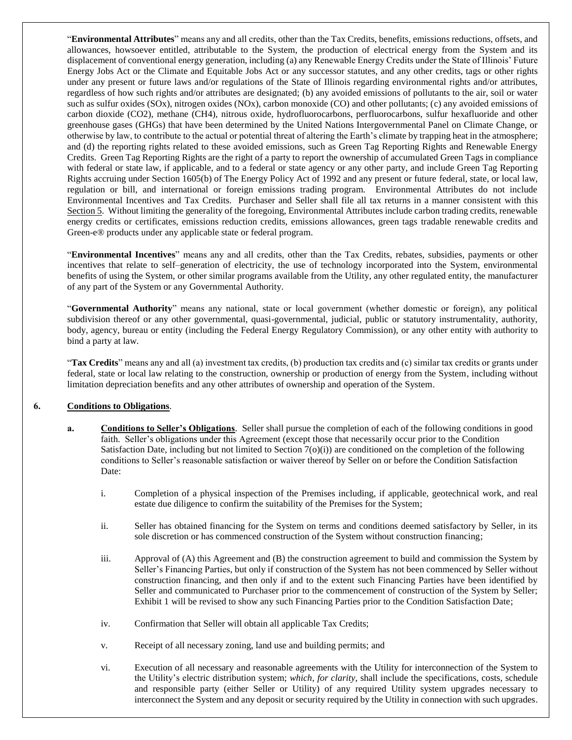"**Environmental Attributes**" means any and all credits, other than the Tax Credits, benefits, emissions reductions, offsets, and allowances, howsoever entitled, attributable to the System, the production of electrical energy from the System and its displacement of conventional energy generation, including (a) any Renewable Energy Credits under the State of Illinois' Future Energy Jobs Act or the Climate and Equitable Jobs Act or any successor statutes, and any other credits, tags or other rights under any present or future laws and/or regulations of the State of Illinois regarding environmental rights and/or attributes, regardless of how such rights and/or attributes are designated; (b) any avoided emissions of pollutants to the air, soil or water such as sulfur oxides (SOx), nitrogen oxides (NOx), carbon monoxide (CO) and other pollutants; (c) any avoided emissions of carbon dioxide (CO2), methane (CH4), nitrous oxide, hydrofluorocarbons, perfluorocarbons, sulfur hexafluoride and other greenhouse gases (GHGs) that have been determined by the United Nations Intergovernmental Panel on Climate Change, or otherwise by law, to contribute to the actual or potential threat of altering the Earth's climate by trapping heat in the atmosphere; and (d) the reporting rights related to these avoided emissions, such as Green Tag Reporting Rights and Renewable Energy Credits. Green Tag Reporting Rights are the right of a party to report the ownership of accumulated Green Tags in compliance with federal or state law, if applicable, and to a federal or state agency or any other party, and include Green Tag Reporting Rights accruing under Section 1605(b) of The Energy Policy Act of 1992 and any present or future federal, state, or local law, regulation or bill, and international or foreign emissions trading program. Environmental Attributes do not include Environmental Incentives and Tax Credits. Purchaser and Seller shall file all tax returns in a manner consistent with this Section 5. Without limiting the generality of the foregoing, Environmental Attributes include carbon trading credits, renewable energy credits or certificates, emissions reduction credits, emissions allowances, green tags tradable renewable credits and Green-e® products under any applicable state or federal program.

"**Environmental Incentives**" means any and all credits, other than the Tax Credits, rebates, subsidies, payments or other incentives that relate to self–generation of electricity, the use of technology incorporated into the System, environmental benefits of using the System, or other similar programs available from the Utility, any other regulated entity, the manufacturer of any part of the System or any Governmental Authority.

"**Governmental Authority**" means any national, state or local government (whether domestic or foreign), any political subdivision thereof or any other governmental, quasi-governmental, judicial, public or statutory instrumentality, authority, body, agency, bureau or entity (including the Federal Energy Regulatory Commission), or any other entity with authority to bind a party at law.

"**Tax Credits**" means any and all (a) investment tax credits, (b) production tax credits and (c) similar tax credits or grants under federal, state or local law relating to the construction, ownership or production of energy from the System, including without limitation depreciation benefits and any other attributes of ownership and operation of the System.

### **6. Conditions to Obligations**.

- **a. Conditions to Seller's Obligations**. Seller shall pursue the completion of each of the following conditions in good faith. Seller's obligations under this Agreement (except those that necessarily occur prior to the Condition Satisfaction Date, including but not limited to Section  $7(0)(i)$ ) are conditioned on the completion of the following conditions to Seller's reasonable satisfaction or waiver thereof by Seller on or before the Condition Satisfaction Date:
	- i. Completion of a physical inspection of the Premises including, if applicable, geotechnical work, and real estate due diligence to confirm the suitability of the Premises for the System;
	- ii. Seller has obtained financing for the System on terms and conditions deemed satisfactory by Seller, in its sole discretion or has commenced construction of the System without construction financing;
	- iii. Approval of (A) this Agreement and (B) the construction agreement to build and commission the System by Seller's Financing Parties, but only if construction of the System has not been commenced by Seller without construction financing, and then only if and to the extent such Financing Parties have been identified by Seller and communicated to Purchaser prior to the commencement of construction of the System by Seller; Exhibit 1 will be revised to show any such Financing Parties prior to the Condition Satisfaction Date;
	- iv. Confirmation that Seller will obtain all applicable Tax Credits;
	- v. Receipt of all necessary zoning, land use and building permits; and
	- vi. Execution of all necessary and reasonable agreements with the Utility for interconnection of the System to the Utility's electric distribution system; *which, for clarity*, shall include the specifications, costs, schedule and responsible party (either Seller or Utility) of any required Utility system upgrades necessary to interconnect the System and any deposit or security required by the Utility in connection with such upgrades.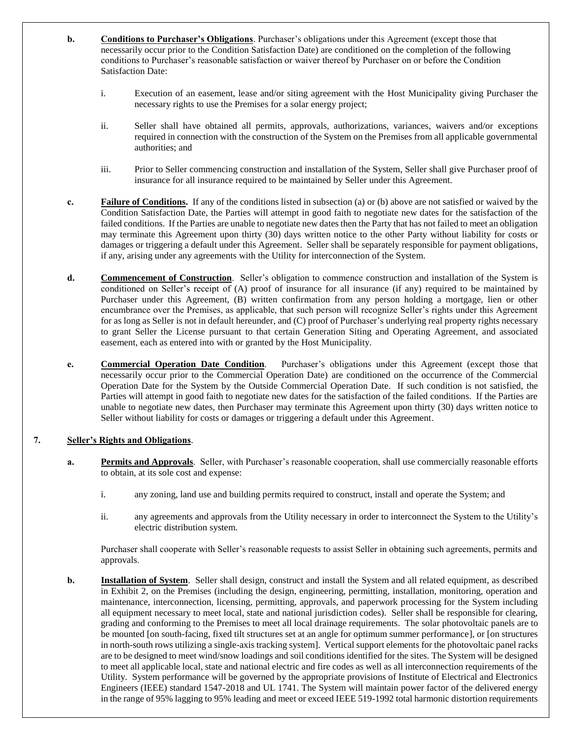- **b. Conditions to Purchaser's Obligations**. Purchaser's obligations under this Agreement (except those that necessarily occur prior to the Condition Satisfaction Date) are conditioned on the completion of the following conditions to Purchaser's reasonable satisfaction or waiver thereof by Purchaser on or before the Condition Satisfaction Date:
	- i. Execution of an easement, lease and/or siting agreement with the Host Municipality giving Purchaser the necessary rights to use the Premises for a solar energy project;
	- ii. Seller shall have obtained all permits, approvals, authorizations, variances, waivers and/or exceptions required in connection with the construction of the System on the Premises from all applicable governmental authorities; and
	- iii. Prior to Seller commencing construction and installation of the System, Seller shall give Purchaser proof of insurance for all insurance required to be maintained by Seller under this Agreement.
- **c. Failure of Conditions.** If any of the conditions listed in subsection (a) or (b) above are not satisfied or waived by the Condition Satisfaction Date, the Parties will attempt in good faith to negotiate new dates for the satisfaction of the failed conditions. If the Parties are unable to negotiate new dates then the Party that has not failed to meet an obligation may terminate this Agreement upon thirty (30) days written notice to the other Party without liability for costs or damages or triggering a default under this Agreement. Seller shall be separately responsible for payment obligations, if any, arising under any agreements with the Utility for interconnection of the System.
- **d. Commencement of Construction**. Seller's obligation to commence construction and installation of the System is conditioned on Seller's receipt of (A) proof of insurance for all insurance (if any) required to be maintained by Purchaser under this Agreement, (B) written confirmation from any person holding a mortgage, lien or other encumbrance over the Premises, as applicable, that such person will recognize Seller's rights under this Agreement for as long as Seller is not in default hereunder, and (C) proof of Purchaser's underlying real property rights necessary to grant Seller the License pursuant to that certain Generation Siting and Operating Agreement, and associated easement, each as entered into with or granted by the Host Municipality.
- **e. Commercial Operation Date Condition**. Purchaser's obligations under this Agreement (except those that necessarily occur prior to the Commercial Operation Date) are conditioned on the occurrence of the Commercial Operation Date for the System by the Outside Commercial Operation Date. If such condition is not satisfied, the Parties will attempt in good faith to negotiate new dates for the satisfaction of the failed conditions. If the Parties are unable to negotiate new dates, then Purchaser may terminate this Agreement upon thirty (30) days written notice to Seller without liability for costs or damages or triggering a default under this Agreement.

### **7. Seller's Rights and Obligations**.

- **a. Permits and Approvals**. Seller, with Purchaser's reasonable cooperation, shall use commercially reasonable efforts to obtain, at its sole cost and expense:
	- i. any zoning, land use and building permits required to construct, install and operate the System; and
	- ii. any agreements and approvals from the Utility necessary in order to interconnect the System to the Utility's electric distribution system.

Purchaser shall cooperate with Seller's reasonable requests to assist Seller in obtaining such agreements, permits and approvals.

**b. Installation of System**. Seller shall design, construct and install the System and all related equipment, as described in Exhibit 2, on the Premises (including the design, engineering, permitting, installation, monitoring, operation and maintenance, interconnection, licensing, permitting, approvals, and paperwork processing for the System including all equipment necessary to meet local, state and national jurisdiction codes). Seller shall be responsible for clearing, grading and conforming to the Premises to meet all local drainage requirements. The solar photovoltaic panels are to be mounted [on south-facing, fixed tilt structures set at an angle for optimum summer performance], or [on structures in north-south rows utilizing a single-axis tracking system]. Vertical support elements for the photovoltaic panel racks are to be designed to meet wind/snow loadings and soil conditions identified for the sites. The System will be designed to meet all applicable local, state and national electric and fire codes as well as all interconnection requirements of the Utility. System performance will be governed by the appropriate provisions of Institute of Electrical and Electronics Engineers (IEEE) standard 1547-2018 and UL 1741. The System will maintain power factor of the delivered energy in the range of 95% lagging to 95% leading and meet or exceed IEEE 519-1992 total harmonic distortion requirements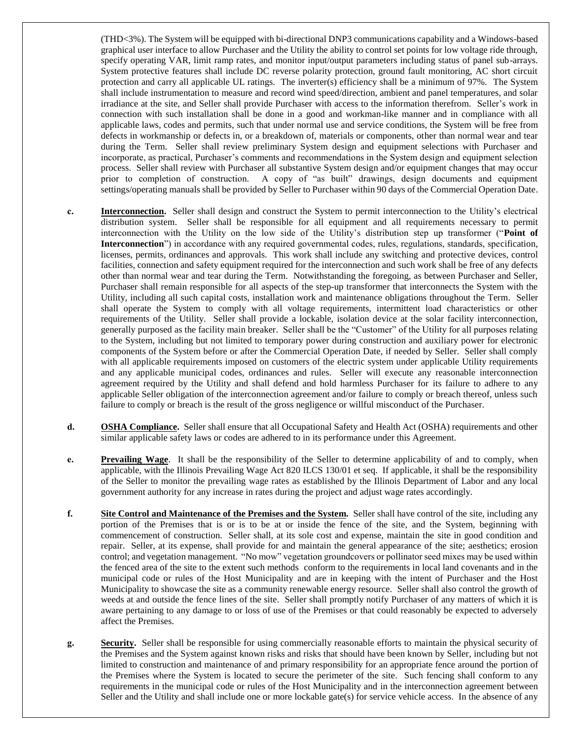(THD<3%). The System will be equipped with bi-directional DNP3 communications capability and a Windows-based graphical user interface to allow Purchaser and the Utility the ability to control set points for low voltage ride through, specify operating VAR, limit ramp rates, and monitor input/output parameters including status of panel sub-arrays. System protective features shall include DC reverse polarity protection, ground fault monitoring, AC short circuit protection and carry all applicable UL ratings. The inverter(s) efficiency shall be a minimum of 97%. The System shall include instrumentation to measure and record wind speed/direction, ambient and panel temperatures, and solar irradiance at the site, and Seller shall provide Purchaser with access to the information therefrom. Seller's work in connection with such installation shall be done in a good and workman-like manner and in compliance with all applicable laws, codes and permits, such that under normal use and service conditions, the System will be free from defects in workmanship or defects in, or a breakdown of, materials or components, other than normal wear and tear during the Term. Seller shall review preliminary System design and equipment selections with Purchaser and incorporate, as practical, Purchaser's comments and recommendations in the System design and equipment selection process. Seller shall review with Purchaser all substantive System design and/or equipment changes that may occur prior to completion of construction. A copy of "as built" drawings, design documents and equipment settings/operating manuals shall be provided by Seller to Purchaser within 90 days of the Commercial Operation Date.

- **c. Interconnection.** Seller shall design and construct the System to permit interconnection to the Utility's electrical distribution system. Seller shall be responsible for all equipment and all requirements necessary to permit interconnection with the Utility on the low side of the Utility's distribution step up transformer ("**Point of Interconnection**") in accordance with any required governmental codes, rules, regulations, standards, specification, licenses, permits, ordinances and approvals. This work shall include any switching and protective devices, control facilities, connection and safety equipment required for the interconnection and such work shall be free of any defects other than normal wear and tear during the Term. Notwithstanding the foregoing, as between Purchaser and Seller, Purchaser shall remain responsible for all aspects of the step-up transformer that interconnects the System with the Utility, including all such capital costs, installation work and maintenance obligations throughout the Term. Seller shall operate the System to comply with all voltage requirements, intermittent load characteristics or other requirements of the Utility. Seller shall provide a lockable, isolation device at the solar facility interconnection, generally purposed as the facility main breaker. Seller shall be the "Customer" of the Utility for all purposes relating to the System, including but not limited to temporary power during construction and auxiliary power for electronic components of the System before or after the Commercial Operation Date, if needed by Seller. Seller shall comply with all applicable requirements imposed on customers of the electric system under applicable Utility requirements and any applicable municipal codes, ordinances and rules. Seller will execute any reasonable interconnection agreement required by the Utility and shall defend and hold harmless Purchaser for its failure to adhere to any applicable Seller obligation of the interconnection agreement and/or failure to comply or breach thereof, unless such failure to comply or breach is the result of the gross negligence or willful misconduct of the Purchaser.
- **d. OSHA Compliance.** Seller shall ensure that all Occupational Safety and Health Act (OSHA) requirements and other similar applicable safety laws or codes are adhered to in its performance under this Agreement.
- **e. Prevailing Wage**. It shall be the responsibility of the Seller to determine applicability of and to comply, when applicable, with the Illinois Prevailing Wage Act 820 ILCS 130/01 et seq. If applicable, it shall be the responsibility of the Seller to monitor the prevailing wage rates as established by the Illinois Department of Labor and any local government authority for any increase in rates during the project and adjust wage rates accordingly.
- **f. Site Control and Maintenance of the Premises and the System.** Seller shall have control of the site, including any portion of the Premises that is or is to be at or inside the fence of the site, and the System, beginning with commencement of construction. Seller shall, at its sole cost and expense, maintain the site in good condition and repair. Seller, at its expense, shall provide for and maintain the general appearance of the site; aesthetics; erosion control; and vegetation management. "No mow" vegetation groundcovers or pollinator seed mixes may be used within the fenced area of the site to the extent such methods conform to the requirements in local land covenants and in the municipal code or rules of the Host Municipality and are in keeping with the intent of Purchaser and the Host Municipality to showcase the site as a community renewable energy resource. Seller shall also control the growth of weeds at and outside the fence lines of the site. Seller shall promptly notify Purchaser of any matters of which it is aware pertaining to any damage to or loss of use of the Premises or that could reasonably be expected to adversely affect the Premises.
- **g. Security.** Seller shall be responsible for using commercially reasonable efforts to maintain the physical security of the Premises and the System against known risks and risks that should have been known by Seller, including but not limited to construction and maintenance of and primary responsibility for an appropriate fence around the portion of the Premises where the System is located to secure the perimeter of the site. Such fencing shall conform to any requirements in the municipal code or rules of the Host Municipality and in the interconnection agreement between Seller and the Utility and shall include one or more lockable gate(s) for service vehicle access. In the absence of any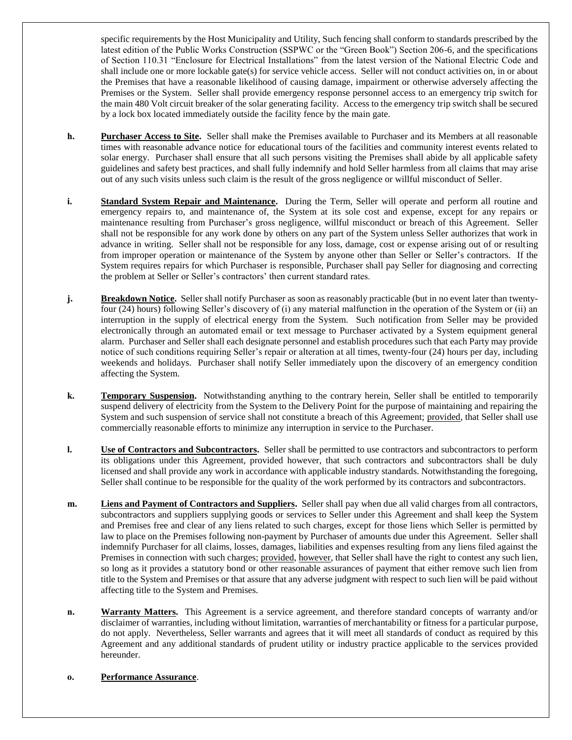specific requirements by the Host Municipality and Utility, Such fencing shall conform to standards prescribed by the latest edition of the Public Works Construction (SSPWC or the "Green Book") Section 206-6, and the specifications of Section 110.31 "Enclosure for Electrical Installations" from the latest version of the National Electric Code and shall include one or more lockable gate(s) for service vehicle access. Seller will not conduct activities on, in or about the Premises that have a reasonable likelihood of causing damage, impairment or otherwise adversely affecting the Premises or the System. Seller shall provide emergency response personnel access to an emergency trip switch for the main 480 Volt circuit breaker of the solar generating facility. Access to the emergency trip switch shall be secured by a lock box located immediately outside the facility fence by the main gate.

- **h. Purchaser Access to Site.** Seller shall make the Premises available to Purchaser and its Members at all reasonable times with reasonable advance notice for educational tours of the facilities and community interest events related to solar energy. Purchaser shall ensure that all such persons visiting the Premises shall abide by all applicable safety guidelines and safety best practices, and shall fully indemnify and hold Seller harmless from all claims that may arise out of any such visits unless such claim is the result of the gross negligence or willful misconduct of Seller.
- **i. Standard System Repair and Maintenance.** During the Term, Seller will operate and perform all routine and emergency repairs to, and maintenance of, the System at its sole cost and expense, except for any repairs or maintenance resulting from Purchaser's gross negligence, willful misconduct or breach of this Agreement. Seller shall not be responsible for any work done by others on any part of the System unless Seller authorizes that work in advance in writing. Seller shall not be responsible for any loss, damage, cost or expense arising out of or resulting from improper operation or maintenance of the System by anyone other than Seller or Seller's contractors. If the System requires repairs for which Purchaser is responsible, Purchaser shall pay Seller for diagnosing and correcting the problem at Seller or Seller's contractors' then current standard rates.
- **j. Breakdown Notice.** Seller shall notify Purchaser as soon as reasonably practicable (but in no event later than twentyfour (24) hours) following Seller's discovery of (i) any material malfunction in the operation of the System or (ii) an interruption in the supply of electrical energy from the System. Such notification from Seller may be provided electronically through an automated email or text message to Purchaser activated by a System equipment general alarm. Purchaser and Seller shall each designate personnel and establish procedures such that each Party may provide notice of such conditions requiring Seller's repair or alteration at all times, twenty-four (24) hours per day, including weekends and holidays. Purchaser shall notify Seller immediately upon the discovery of an emergency condition affecting the System.
- **k. Temporary Suspension.** Notwithstanding anything to the contrary herein, Seller shall be entitled to temporarily suspend delivery of electricity from the System to the Delivery Point for the purpose of maintaining and repairing the System and such suspension of service shall not constitute a breach of this Agreement; provided, that Seller shall use commercially reasonable efforts to minimize any interruption in service to the Purchaser.
- **l. Use of Contractors and Subcontractors.** Seller shall be permitted to use contractors and subcontractors to perform its obligations under this Agreement, provided however, that such contractors and subcontractors shall be duly licensed and shall provide any work in accordance with applicable industry standards. Notwithstanding the foregoing, Seller shall continue to be responsible for the quality of the work performed by its contractors and subcontractors.
- **m. Liens and Payment of Contractors and Suppliers.** Seller shall pay when due all valid charges from all contractors, subcontractors and suppliers supplying goods or services to Seller under this Agreement and shall keep the System and Premises free and clear of any liens related to such charges, except for those liens which Seller is permitted by law to place on the Premises following non-payment by Purchaser of amounts due under this Agreement. Seller shall indemnify Purchaser for all claims, losses, damages, liabilities and expenses resulting from any liens filed against the Premises in connection with such charges; provided, however, that Seller shall have the right to contest any such lien, so long as it provides a statutory bond or other reasonable assurances of payment that either remove such lien from title to the System and Premises or that assure that any adverse judgment with respect to such lien will be paid without affecting title to the System and Premises.
- **n. Warranty Matters.** This Agreement is a service agreement, and therefore standard concepts of warranty and/or disclaimer of warranties, including without limitation, warranties of merchantability or fitness for a particular purpose, do not apply. Nevertheless, Seller warrants and agrees that it will meet all standards of conduct as required by this Agreement and any additional standards of prudent utility or industry practice applicable to the services provided hereunder.

### **o. Performance Assurance**.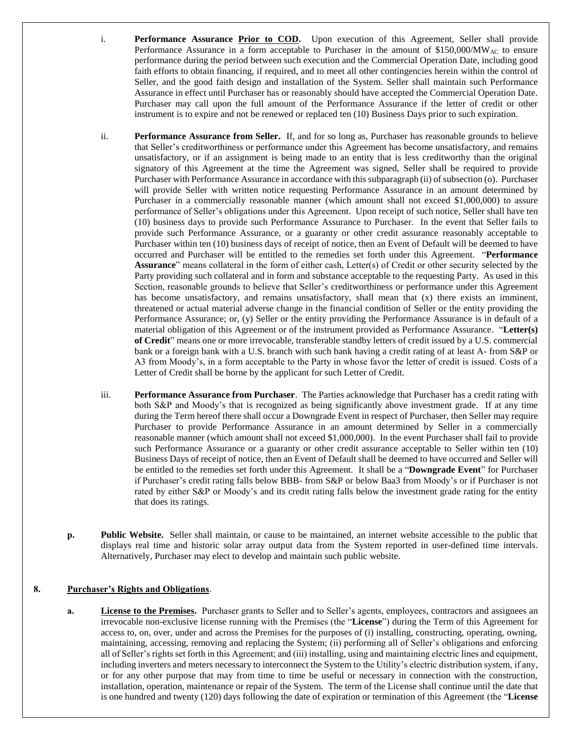- i. **Performance Assurance Prior to COD.** Upon execution of this Agreement, Seller shall provide Performance Assurance in a form acceptable to Purchaser in the amount of \$150,000/ $\text{MW}_{AC}$  to ensure performance during the period between such execution and the Commercial Operation Date, including good faith efforts to obtain financing, if required, and to meet all other contingencies herein within the control of Seller, and the good faith design and installation of the System. Seller shall maintain such Performance Assurance in effect until Purchaser has or reasonably should have accepted the Commercial Operation Date. Purchaser may call upon the full amount of the Performance Assurance if the letter of credit or other instrument is to expire and not be renewed or replaced ten (10) Business Days prior to such expiration.
- ii. **Performance Assurance from Seller.** If, and for so long as, Purchaser has reasonable grounds to believe that Seller's creditworthiness or performance under this Agreement has become unsatisfactory, and remains unsatisfactory, or if an assignment is being made to an entity that is less creditworthy than the original signatory of this Agreement at the time the Agreement was signed, Seller shall be required to provide Purchaser with Performance Assurance in accordance with this subparagraph (ii) of subsection (o). Purchaser will provide Seller with written notice requesting Performance Assurance in an amount determined by Purchaser in a commercially reasonable manner (which amount shall not exceed \$1,000,000) to assure performance of Seller's obligations under this Agreement. Upon receipt of such notice, Seller shall have ten (10) business days to provide such Performance Assurance to Purchaser. In the event that Seller fails to provide such Performance Assurance, or a guaranty or other credit assurance reasonably acceptable to Purchaser within ten (10) business days of receipt of notice, then an Event of Default will be deemed to have occurred and Purchaser will be entitled to the remedies set forth under this Agreement. "**Performance Assurance**" means collateral in the form of either cash, Letter(s) of Credit or other security selected by the Party providing such collateral and in form and substance acceptable to the requesting Party. As used in this Section, reasonable grounds to believe that Seller's creditworthiness or performance under this Agreement has become unsatisfactory, and remains unsatisfactory, shall mean that (x) there exists an imminent, threatened or actual material adverse change in the financial condition of Seller or the entity providing the Performance Assurance; or, (y) Seller or the entity providing the Performance Assurance is in default of a material obligation of this Agreement or of the instrument provided as Performance Assurance. "**Letter(s) of Credit**" means one or more irrevocable, transferable standby letters of credit issued by a U.S. commercial bank or a foreign bank with a U.S. branch with such bank having a credit rating of at least A- from S&P or A3 from Moody's, in a form acceptable to the Party in whose favor the letter of credit is issued. Costs of a Letter of Credit shall be borne by the applicant for such Letter of Credit.
- iii. **Performance Assurance from Purchaser**. The Parties acknowledge that Purchaser has a credit rating with both S&P and Moody's that is recognized as being significantly above investment grade. If at any time during the Term hereof there shall occur a Downgrade Event in respect of Purchaser, then Seller may require Purchaser to provide Performance Assurance in an amount determined by Seller in a commercially reasonable manner (which amount shall not exceed \$1,000,000). In the event Purchaser shall fail to provide such Performance Assurance or a guaranty or other credit assurance acceptable to Seller within ten (10) Business Days of receipt of notice, then an Event of Default shall be deemed to have occurred and Seller will be entitled to the remedies set forth under this Agreement. It shall be a "**Downgrade Event**" for Purchaser if Purchaser's credit rating falls below BBB- from S&P or below Baa3 from Moody's or if Purchaser is not rated by either S&P or Moody's and its credit rating falls below the investment grade rating for the entity that does its ratings.
- **p. Public Website.** Seller shall maintain, or cause to be maintained, an internet website accessible to the public that displays real time and historic solar array output data from the System reported in user-defined time intervals. Alternatively, Purchaser may elect to develop and maintain such public website.

### <span id="page-6-0"></span>**8. Purchaser's Rights and Obligations**.

**a. License to the Premises.** Purchaser grants to Seller and to Seller's agents, employees, contractors and assignees an irrevocable non-exclusive license running with the Premises (the "**License**") during the Term of this Agreement for access to, on, over, under and across the Premises for the purposes of (i) installing, constructing, operating, owning, maintaining, accessing, removing and replacing the System; (ii) performing all of Seller's obligations and enforcing all of Seller's rights set forth in this Agreement; and (iii) installing, using and maintaining electric lines and equipment, including inverters and meters necessary to interconnect the System to the Utility's electric distribution system, if any, or for any other purpose that may from time to time be useful or necessary in connection with the construction, installation, operation, maintenance or repair of the System. The term of the License shall continue until the date that is one hundred and twenty (120) days following the date of expiration or termination of this Agreement (the "**License**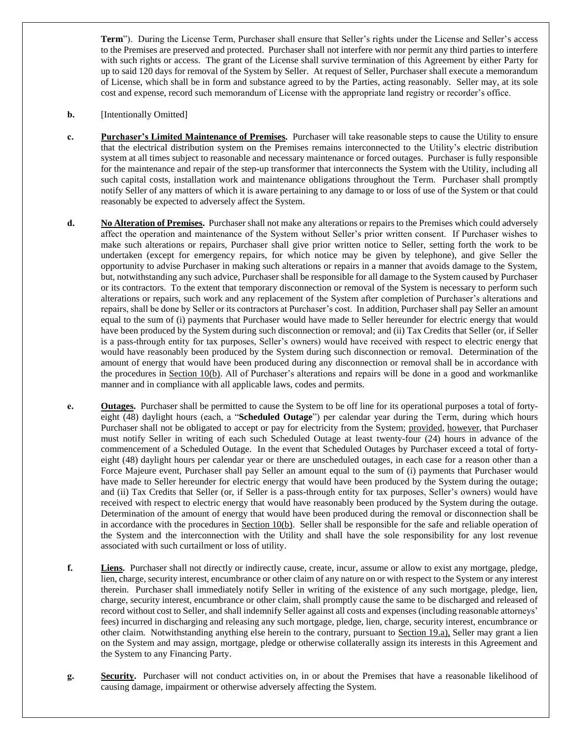**Term**"). During the License Term, Purchaser shall ensure that Seller's rights under the License and Seller's access to the Premises are preserved and protected. Purchaser shall not interfere with nor permit any third parties to interfere with such rights or access. The grant of the License shall survive termination of this Agreement by either Party for up to said 120 days for removal of the System by Seller. At request of Seller, Purchaser shall execute a memorandum of License, which shall be in form and substance agreed to by the Parties, acting reasonably. Seller may, at its sole cost and expense, record such memorandum of License with the appropriate land registry or recorder's office.

- **b.** [Intentionally Omitted]
- **c. Purchaser's Limited Maintenance of Premises.** Purchaser will take reasonable steps to cause the Utility to ensure that the electrical distribution system on the Premises remains interconnected to the Utility's electric distribution system at all times subject to reasonable and necessary maintenance or forced outages. Purchaser is fully responsible for the maintenance and repair of the step-up transformer that interconnects the System with the Utility, including all such capital costs, installation work and maintenance obligations throughout the Term. Purchaser shall promptly notify Seller of any matters of which it is aware pertaining to any damage to or loss of use of the System or that could reasonably be expected to adversely affect the System.
- **d. No Alteration of Premises.** Purchaser shall not make any alterations or repairs to the Premises which could adversely affect the operation and maintenance of the System without Seller's prior written consent. If Purchaser wishes to make such alterations or repairs, Purchaser shall give prior written notice to Seller, setting forth the work to be undertaken (except for emergency repairs, for which notice may be given by telephone), and give Seller the opportunity to advise Purchaser in making such alterations or repairs in a manner that avoids damage to the System, but, notwithstanding any such advice, Purchaser shall be responsible for all damage to the System caused by Purchaser or its contractors. To the extent that temporary disconnection or removal of the System is necessary to perform such alterations or repairs, such work and any replacement of the System after completion of Purchaser's alterations and repairs, shall be done by Seller or its contractors at Purchaser's cost. In addition, Purchaser shall pay Seller an amount equal to the sum of (i) payments that Purchaser would have made to Seller hereunder for electric energy that would have been produced by the System during such disconnection or removal; and (ii) Tax Credits that Seller (or, if Seller is a pass-through entity for tax purposes, Seller's owners) would have received with respect to electric energy that would have reasonably been produced by the System during such disconnection or removal. Determination of the amount of energy that would have been produced during any disconnection or removal shall be in accordance with the procedures in Section 10(b). All of Purchaser's alterations and repairs will be done in a good and workmanlike manner and in compliance with all applicable laws, codes and permits.
- **e. Outages.** Purchaser shall be permitted to cause the System to be off line for its operational purposes a total of fortyeight (48) daylight hours (each, a "**Scheduled Outage**") per calendar year during the Term, during which hours Purchaser shall not be obligated to accept or pay for electricity from the System; provided, however, that Purchaser must notify Seller in writing of each such Scheduled Outage at least twenty-four (24) hours in advance of the commencement of a Scheduled Outage. In the event that Scheduled Outages by Purchaser exceed a total of fortyeight (48) daylight hours per calendar year or there are unscheduled outages, in each case for a reason other than a Force Majeure event, Purchaser shall pay Seller an amount equal to the sum of (i) payments that Purchaser would have made to Seller hereunder for electric energy that would have been produced by the System during the outage; and (ii) Tax Credits that Seller (or, if Seller is a pass-through entity for tax purposes, Seller's owners) would have received with respect to electric energy that would have reasonably been produced by the System during the outage. Determination of the amount of energy that would have been produced during the removal or disconnection shall be in accordance with the procedures in  $Section 10(b)$ . Seller shall be responsible for the safe and reliable operation of the System and the interconnection with the Utility and shall have the sole responsibility for any lost revenue associated with such curtailment or loss of utility.
- **f. Liens.** Purchaser shall not directly or indirectly cause, create, incur, assume or allow to exist any mortgage, pledge, lien, charge, security interest, encumbrance or other claim of any nature on or with respect to the System or any interest therein. Purchaser shall immediately notify Seller in writing of the existence of any such mortgage, pledge, lien, charge, security interest, encumbrance or other claim, shall promptly cause the same to be discharged and released of record without cost to Seller, and shall indemnify Seller against all costs and expenses (including reasonable attorneys' fees) incurred in discharging and releasing any such mortgage, pledge, lien, charge, security interest, encumbrance or other claim. Notwithstanding anything else herein to the contrary, pursuant to Section [19.a\)](#page-16-0), Seller may grant a lien on the System and may assign, mortgage, pledge or otherwise collaterally assign its interests in this Agreement and the System to any Financing Party.
- **g. Security.** Purchaser will not conduct activities on, in or about the Premises that have a reasonable likelihood of causing damage, impairment or otherwise adversely affecting the System.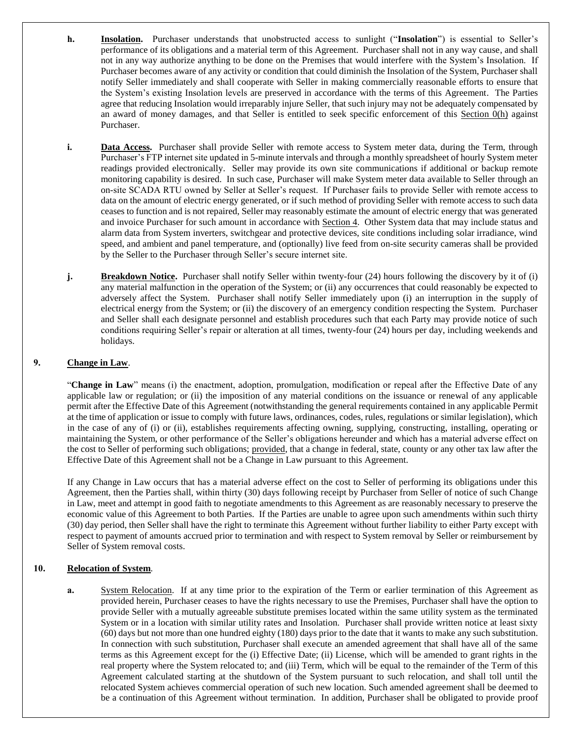- <span id="page-8-0"></span>**h. Insolation.** Purchaser understands that unobstructed access to sunlight ("**Insolation**") is essential to Seller's performance of its obligations and a material term of this Agreement. Purchaser shall not in any way cause, and shall not in any way authorize anything to be done on the Premises that would interfere with the System's Insolation. If Purchaser becomes aware of any activity or condition that could diminish the Insolation of the System, Purchaser shall notify Seller immediately and shall cooperate with Seller in making commercially reasonable efforts to ensure that the System's existing Insolation levels are preserved in accordance with the terms of this Agreement. The Parties agree that reducing Insolation would irreparably injure Seller, that such injury may not be adequately compensated by an award of money damages, and that Seller is entitled to seek specific enforcement of this Section [0](#page-6-0)[\(h\)](#page-8-0) against Purchaser.
- **i. Data Access.** Purchaser shall provide Seller with remote access to System meter data, during the Term, through Purchaser's FTP internet site updated in 5-minute intervals and through a monthly spreadsheet of hourly System meter readings provided electronically. Seller may provide its own site communications if additional or backup remote monitoring capability is desired. In such case, Purchaser will make System meter data available to Seller through an on-site SCADA RTU owned by Seller at Seller's request. If Purchaser fails to provide Seller with remote access to data on the amount of electric energy generated, or if such method of providing Seller with remote access to such data ceases to function and is not repaired, Seller may reasonably estimate the amount of electric energy that was generated and invoice Purchaser for such amount in accordance with Section 4. Other System data that may include status and alarm data from System inverters, switchgear and protective devices, site conditions including solar irradiance, wind speed, and ambient and panel temperature, and (optionally) live feed from on-site security cameras shall be provided by the Seller to the Purchaser through Seller's secure internet site.
- **j. Breakdown Notice.** Purchaser shall notify Seller within twenty-four (24) hours following the discovery by it of (i) any material malfunction in the operation of the System; or (ii) any occurrences that could reasonably be expected to adversely affect the System. Purchaser shall notify Seller immediately upon (i) an interruption in the supply of electrical energy from the System; or (ii) the discovery of an emergency condition respecting the System. Purchaser and Seller shall each designate personnel and establish procedures such that each Party may provide notice of such conditions requiring Seller's repair or alteration at all times, twenty-four (24) hours per day, including weekends and holidays.

# **9. Change in Law**.

"**Change in Law**" means (i) the enactment, adoption, promulgation, modification or repeal after the Effective Date of any applicable law or regulation; or (ii) the imposition of any material conditions on the issuance or renewal of any applicable permit after the Effective Date of this Agreement (notwithstanding the general requirements contained in any applicable Permit at the time of application or issue to comply with future laws, ordinances, codes, rules, regulations or similar legislation), which in the case of any of (i) or (ii), establishes requirements affecting owning, supplying, constructing, installing, operating or maintaining the System, or other performance of the Seller's obligations hereunder and which has a material adverse effect on the cost to Seller of performing such obligations; provided, that a change in federal, state, county or any other tax law after the Effective Date of this Agreement shall not be a Change in Law pursuant to this Agreement.

If any Change in Law occurs that has a material adverse effect on the cost to Seller of performing its obligations under this Agreement, then the Parties shall, within thirty (30) days following receipt by Purchaser from Seller of notice of such Change in Law, meet and attempt in good faith to negotiate amendments to this Agreement as are reasonably necessary to preserve the economic value of this Agreement to both Parties. If the Parties are unable to agree upon such amendments within such thirty (30) day period, then Seller shall have the right to terminate this Agreement without further liability to either Party except with respect to payment of amounts accrued prior to termination and with respect to System removal by Seller or reimbursement by Seller of System removal costs.

### **10. Relocation of System**.

**a.** System Relocation. If at any time prior to the expiration of the Term or earlier termination of this Agreement as provided herein, Purchaser ceases to have the rights necessary to use the Premises, Purchaser shall have the option to provide Seller with a mutually agreeable substitute premises located within the same utility system as the terminated System or in a location with similar utility rates and Insolation. Purchaser shall provide written notice at least sixty (60) days but not more than one hundred eighty (180) days prior to the date that it wants to make any such substitution. In connection with such substitution, Purchaser shall execute an amended agreement that shall have all of the same terms as this Agreement except for the (i) Effective Date; (ii) License, which will be amended to grant rights in the real property where the System relocated to; and (iii) Term, which will be equal to the remainder of the Term of this Agreement calculated starting at the shutdown of the System pursuant to such relocation, and shall toll until the relocated System achieves commercial operation of such new location. Such amended agreement shall be deemed to be a continuation of this Agreement without termination. In addition, Purchaser shall be obligated to provide proof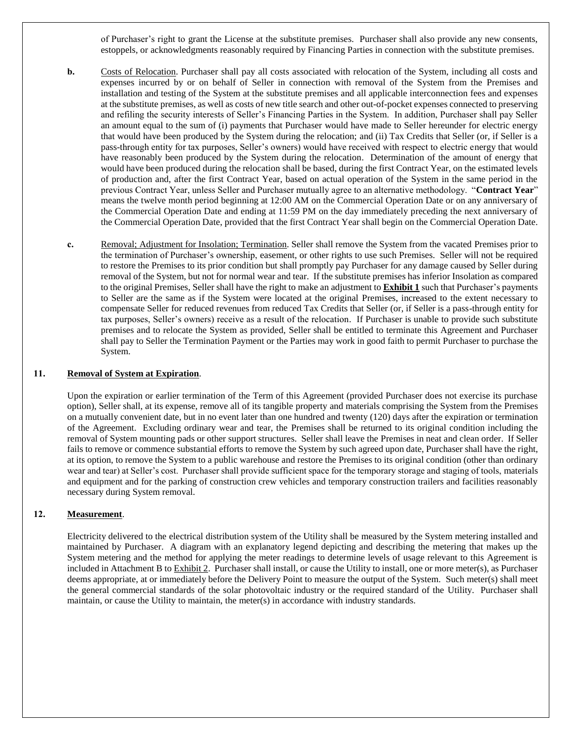of Purchaser's right to grant the License at the substitute premises. Purchaser shall also provide any new consents, estoppels, or acknowledgments reasonably required by Financing Parties in connection with the substitute premises.

- **b.** Costs of Relocation. Purchaser shall pay all costs associated with relocation of the System, including all costs and expenses incurred by or on behalf of Seller in connection with removal of the System from the Premises and installation and testing of the System at the substitute premises and all applicable interconnection fees and expenses at the substitute premises, as well as costs of new title search and other out-of-pocket expenses connected to preserving and refiling the security interests of Seller's Financing Parties in the System. In addition, Purchaser shall pay Seller an amount equal to the sum of (i) payments that Purchaser would have made to Seller hereunder for electric energy that would have been produced by the System during the relocation; and (ii) Tax Credits that Seller (or, if Seller is a pass-through entity for tax purposes, Seller's owners) would have received with respect to electric energy that would have reasonably been produced by the System during the relocation. Determination of the amount of energy that would have been produced during the relocation shall be based, during the first Contract Year, on the estimated levels of production and, after the first Contract Year, based on actual operation of the System in the same period in the previous Contract Year, unless Seller and Purchaser mutually agree to an alternative methodology. "**Contract Year**" means the twelve month period beginning at 12:00 AM on the Commercial Operation Date or on any anniversary of the Commercial Operation Date and ending at 11:59 PM on the day immediately preceding the next anniversary of the Commercial Operation Date, provided that the first Contract Year shall begin on the Commercial Operation Date.
- **c.** Removal; Adjustment for Insolation; Termination. Seller shall remove the System from the vacated Premises prior to the termination of Purchaser's ownership, easement, or other rights to use such Premises. Seller will not be required to restore the Premises to its prior condition but shall promptly pay Purchaser for any damage caused by Seller during removal of the System, but not for normal wear and tear. If the substitute premises has inferior Insolation as compared to the original Premises, Seller shall have the right to make an adjustment to **Exhibit 1** such that Purchaser's payments to Seller are the same as if the System were located at the original Premises, increased to the extent necessary to compensate Seller for reduced revenues from reduced Tax Credits that Seller (or, if Seller is a pass-through entity for tax purposes, Seller's owners) receive as a result of the relocation. If Purchaser is unable to provide such substitute premises and to relocate the System as provided, Seller shall be entitled to terminate this Agreement and Purchaser shall pay to Seller the Termination Payment or the Parties may work in good faith to permit Purchaser to purchase the System.

#### **11. Removal of System at Expiration**.

Upon the expiration or earlier termination of the Term of this Agreement (provided Purchaser does not exercise its purchase option), Seller shall, at its expense, remove all of its tangible property and materials comprising the System from the Premises on a mutually convenient date, but in no event later than one hundred and twenty (120) days after the expiration or termination of the Agreement. Excluding ordinary wear and tear, the Premises shall be returned to its original condition including the removal of System mounting pads or other support structures. Seller shall leave the Premises in neat and clean order. If Seller fails to remove or commence substantial efforts to remove the System by such agreed upon date, Purchaser shall have the right, at its option, to remove the System to a public warehouse and restore the Premises to its original condition (other than ordinary wear and tear) at Seller's cost. Purchaser shall provide sufficient space for the temporary storage and staging of tools, materials and equipment and for the parking of construction crew vehicles and temporary construction trailers and facilities reasonably necessary during System removal.

# **12. Measurement**.

Electricity delivered to the electrical distribution system of the Utility shall be measured by the System metering installed and maintained by Purchaser. A diagram with an explanatory legend depicting and describing the metering that makes up the System metering and the method for applying the meter readings to determine levels of usage relevant to this Agreement is included in Attachment B to Exhibit 2. Purchaser shall install, or cause the Utility to install, one or more meter(s), as Purchaser deems appropriate, at or immediately before the Delivery Point to measure the output of the System. Such meter(s) shall meet the general commercial standards of the solar photovoltaic industry or the required standard of the Utility. Purchaser shall maintain, or cause the Utility to maintain, the meter(s) in accordance with industry standards.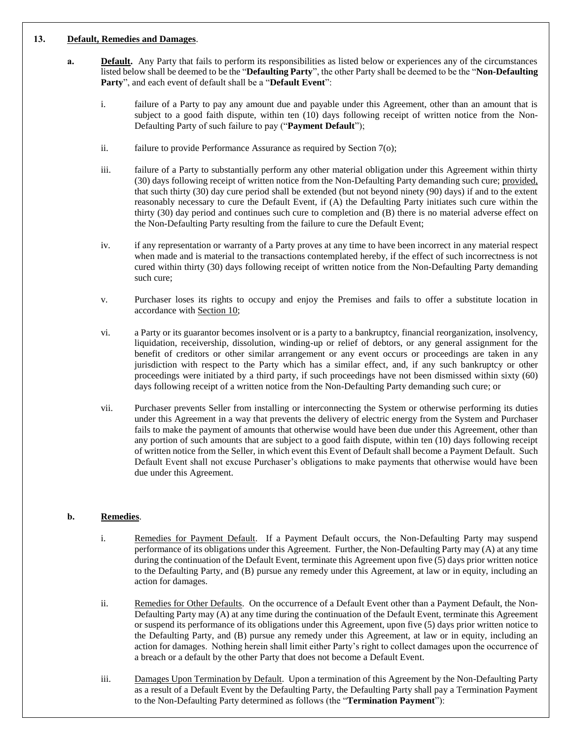### <span id="page-10-0"></span>**13. Default, Remedies and Damages**.

- **a. Default.** Any Party that fails to perform its responsibilities as listed below or experiences any of the circumstances listed below shall be deemed to be the "**Defaulting Party**", the other Party shall be deemed to be the "**Non-Defaulting Party**", and each event of default shall be a "**Default Event**":
	- i. failure of a Party to pay any amount due and payable under this Agreement, other than an amount that is subject to a good faith dispute, within ten (10) days following receipt of written notice from the Non-Defaulting Party of such failure to pay ("**Payment Default**");
	- ii. failure to provide Performance Assurance as required by Section 7(o);
	- iii. failure of a Party to substantially perform any other material obligation under this Agreement within thirty (30) days following receipt of written notice from the Non-Defaulting Party demanding such cure; provided, that such thirty (30) day cure period shall be extended (but not beyond ninety (90) days) if and to the extent reasonably necessary to cure the Default Event, if (A) the Defaulting Party initiates such cure within the thirty (30) day period and continues such cure to completion and (B) there is no material adverse effect on the Non-Defaulting Party resulting from the failure to cure the Default Event;
	- iv. if any representation or warranty of a Party proves at any time to have been incorrect in any material respect when made and is material to the transactions contemplated hereby, if the effect of such incorrectness is not cured within thirty (30) days following receipt of written notice from the Non-Defaulting Party demanding such cure;
	- v. Purchaser loses its rights to occupy and enjoy the Premises and fails to offer a substitute location in accordance with Section 10;
	- vi. a Party or its guarantor becomes insolvent or is a party to a bankruptcy, financial reorganization, insolvency, liquidation, receivership, dissolution, winding-up or relief of debtors, or any general assignment for the benefit of creditors or other similar arrangement or any event occurs or proceedings are taken in any jurisdiction with respect to the Party which has a similar effect, and, if any such bankruptcy or other proceedings were initiated by a third party, if such proceedings have not been dismissed within sixty (60) days following receipt of a written notice from the Non-Defaulting Party demanding such cure; or
	- vii. Purchaser prevents Seller from installing or interconnecting the System or otherwise performing its duties under this Agreement in a way that prevents the delivery of electric energy from the System and Purchaser fails to make the payment of amounts that otherwise would have been due under this Agreement, other than any portion of such amounts that are subject to a good faith dispute, within ten (10) days following receipt of written notice from the Seller, in which event this Event of Default shall become a Payment Default. Such Default Event shall not excuse Purchaser's obligations to make payments that otherwise would have been due under this Agreement.

### <span id="page-10-1"></span>**b. Remedies**.

- i. Remedies for Payment Default. If a Payment Default occurs, the Non-Defaulting Party may suspend performance of its obligations under this Agreement. Further, the Non-Defaulting Party may (A) at any time during the continuation of the Default Event, terminate this Agreement upon five (5) days prior written notice to the Defaulting Party, and (B) pursue any remedy under this Agreement, at law or in equity, including an action for damages.
- ii. Remedies for Other Defaults. On the occurrence of a Default Event other than a Payment Default, the Non-Defaulting Party may (A) at any time during the continuation of the Default Event, terminate this Agreement or suspend its performance of its obligations under this Agreement, upon five (5) days prior written notice to the Defaulting Party, and (B) pursue any remedy under this Agreement, at law or in equity, including an action for damages. Nothing herein shall limit either Party's right to collect damages upon the occurrence of a breach or a default by the other Party that does not become a Default Event.
- iii. Damages Upon Termination by Default. Upon a termination of this Agreement by the Non-Defaulting Party as a result of a Default Event by the Defaulting Party, the Defaulting Party shall pay a Termination Payment to the Non-Defaulting Party determined as follows (the "**Termination Payment**"):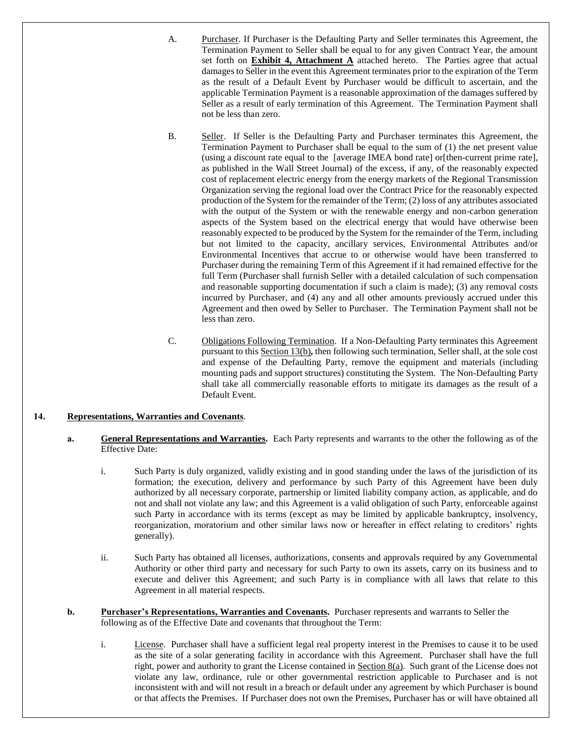A. Purchaser. If Purchaser is the Defaulting Party and Seller terminates this Agreement, the Termination Payment to Seller shall be equal to for any given Contract Year, the amount set forth on **Exhibit 4, Attachment A** attached hereto. The Parties agree that actual damages to Seller in the event this Agreement terminates prior to the expiration of the Term as the result of a Default Event by Purchaser would be difficult to ascertain, and the applicable Termination Payment is a reasonable approximation of the damages suffered by Seller as a result of early termination of this Agreement. The Termination Payment shall not be less than zero.

B. Seller. If Seller is the Defaulting Party and Purchaser terminates this Agreement, the Termination Payment to Purchaser shall be equal to the sum of (1) the net present value (using a discount rate equal to the [average IMEA bond rate] or[then-current prime rate], as published in the Wall Street Journal) of the excess, if any, of the reasonably expected cost of replacement electric energy from the energy markets of the Regional Transmission Organization serving the regional load over the Contract Price for the reasonably expected production of the System for the remainder of the Term; (2) loss of any attributes associated with the output of the System or with the renewable energy and non-carbon generation aspects of the System based on the electrical energy that would have otherwise been reasonably expected to be produced by the System for the remainder of the Term, including but not limited to the capacity, ancillary services, Environmental Attributes and/or Environmental Incentives that accrue to or otherwise would have been transferred to Purchaser during the remaining Term of this Agreement if it had remained effective for the full Term (Purchaser shall furnish Seller with a detailed calculation of such compensation and reasonable supporting documentation if such a claim is made); (3) any removal costs incurred by Purchaser, and (4) any and all other amounts previously accrued under this Agreement and then owed by Seller to Purchaser. The Termination Payment shall not be less than zero.

C. Obligations Following Termination. If a Non-Defaulting Party terminates this Agreement pursuant to this Section [13](#page-10-0)[\(b\)](#page-10-1)*,* then following such termination, Seller shall, at the sole cost and expense of the Defaulting Party, remove the equipment and materials (including mounting pads and support structures) constituting the System. The Non-Defaulting Party shall take all commercially reasonable efforts to mitigate its damages as the result of a Default Event.

### <span id="page-11-0"></span>**14. Representations, Warranties and Covenants**.

- **a. General Representations and Warranties.** Each Party represents and warrants to the other the following as of the Effective Date:
	- i. Such Party is duly organized, validly existing and in good standing under the laws of the jurisdiction of its formation; the execution, delivery and performance by such Party of this Agreement have been duly authorized by all necessary corporate, partnership or limited liability company action, as applicable, and do not and shall not violate any law; and this Agreement is a valid obligation of such Party, enforceable against such Party in accordance with its terms (except as may be limited by applicable bankruptcy, insolvency, reorganization, moratorium and other similar laws now or hereafter in effect relating to creditors' rights generally).
	- ii. Such Party has obtained all licenses, authorizations, consents and approvals required by any Governmental Authority or other third party and necessary for such Party to own its assets, carry on its business and to execute and deliver this Agreement; and such Party is in compliance with all laws that relate to this Agreement in all material respects.
- **b. Purchaser's Representations, Warranties and Covenants.** Purchaser represents and warrants to Seller the following as of the Effective Date and covenants that throughout the Term:
	- i. License. Purchaser shall have a sufficient legal real property interest in the Premises to cause it to be used as the site of a solar generating facility in accordance with this Agreement. Purchaser shall have the full right, power and authority to grant the License contained in Section 8(a). Such grant of the License does not violate any law, ordinance, rule or other governmental restriction applicable to Purchaser and is not inconsistent with and will not result in a breach or default under any agreement by which Purchaser is bound or that affects the Premises. If Purchaser does not own the Premises, Purchaser has or will have obtained all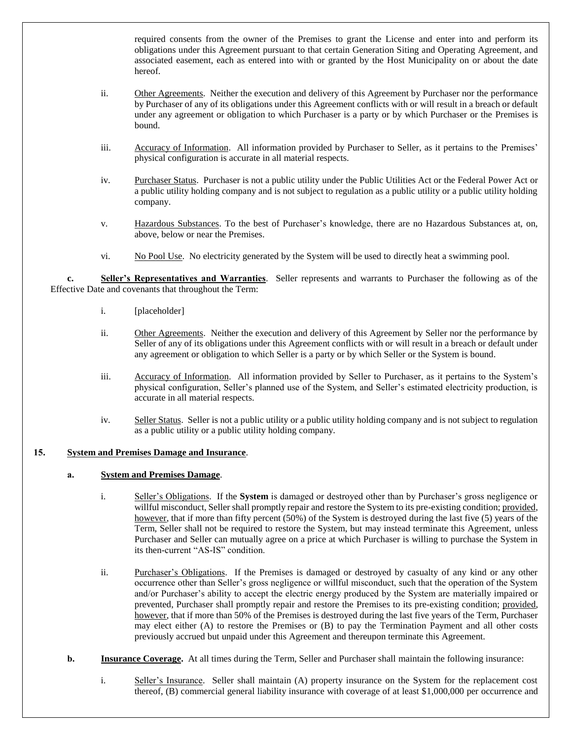required consents from the owner of the Premises to grant the License and enter into and perform its obligations under this Agreement pursuant to that certain Generation Siting and Operating Agreement, and associated easement, each as entered into with or granted by the Host Municipality on or about the date hereof.

- ii. Other Agreements. Neither the execution and delivery of this Agreement by Purchaser nor the performance by Purchaser of any of its obligations under this Agreement conflicts with or will result in a breach or default under any agreement or obligation to which Purchaser is a party or by which Purchaser or the Premises is bound.
- iii. Accuracy of Information. All information provided by Purchaser to Seller, as it pertains to the Premises' physical configuration is accurate in all material respects.
- iv. Purchaser Status. Purchaser is not a public utility under the Public Utilities Act or the Federal Power Act or a public utility holding company and is not subject to regulation as a public utility or a public utility holding company.
- v. Hazardous Substances. To the best of Purchaser's knowledge, there are no Hazardous Substances at, on, above, below or near the Premises.
- vi. No Pool Use. No electricity generated by the System will be used to directly heat a swimming pool.

**c. Seller's Representatives and Warranties**. Seller represents and warrants to Purchaser the following as of the Effective Date and covenants that throughout the Term:

- i. [placeholder]
- ii. Other Agreements. Neither the execution and delivery of this Agreement by Seller nor the performance by Seller of any of its obligations under this Agreement conflicts with or will result in a breach or default under any agreement or obligation to which Seller is a party or by which Seller or the System is bound.
- iii. Accuracy of Information. All information provided by Seller to Purchaser, as it pertains to the System's physical configuration, Seller's planned use of the System, and Seller's estimated electricity production, is accurate in all material respects.
- iv. Seller Status. Seller is not a public utility or a public utility holding company and is not subject to regulation as a public utility or a public utility holding company.

### <span id="page-12-0"></span>**15. System and Premises Damage and Insurance**.

### **a. System and Premises Damage**.

- i. Seller's Obligations. If the **System** is damaged or destroyed other than by Purchaser's gross negligence or willful misconduct, Seller shall promptly repair and restore the System to its pre-existing condition; provided, however, that if more than fifty percent (50%) of the System is destroyed during the last five (5) years of the Term, Seller shall not be required to restore the System, but may instead terminate this Agreement, unless Purchaser and Seller can mutually agree on a price at which Purchaser is willing to purchase the System in its then-current "AS-IS" condition.
- ii. Purchaser's Obligations. If the Premises is damaged or destroyed by casualty of any kind or any other occurrence other than Seller's gross negligence or willful misconduct, such that the operation of the System and/or Purchaser's ability to accept the electric energy produced by the System are materially impaired or prevented, Purchaser shall promptly repair and restore the Premises to its pre-existing condition; provided, however, that if more than 50% of the Premises is destroyed during the last five years of the Term, Purchaser may elect either (A) to restore the Premises or (B) to pay the Termination Payment and all other costs previously accrued but unpaid under this Agreement and thereupon terminate this Agreement.
- <span id="page-12-1"></span>**b. Insurance Coverage.** At all times during the Term, Seller and Purchaser shall maintain the following insurance:
	- i. Seller's Insurance. Seller shall maintain (A) property insurance on the System for the replacement cost thereof, (B) commercial general liability insurance with coverage of at least \$1,000,000 per occurrence and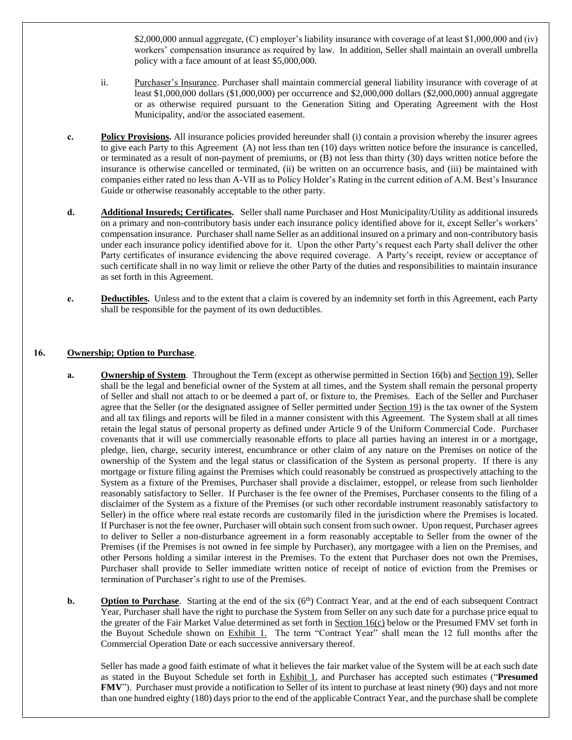\$2,000,000 annual aggregate, (C) employer's liability insurance with coverage of at least \$1,000,000 and (iv) workers' compensation insurance as required by law. In addition, Seller shall maintain an overall umbrella policy with a face amount of at least \$5,000,000.

- ii. Purchaser's Insurance. Purchaser shall maintain commercial general liability insurance with coverage of at least \$1,000,000 dollars (\$1,000,000) per occurrence and \$2,000,000 dollars (\$2,000,000) annual aggregate or as otherwise required pursuant to the Generation Siting and Operating Agreement with the Host Municipality, and/or the associated easement.
- **c. Policy Provisions.** All insurance policies provided hereunder shall (i) contain a provision whereby the insurer agrees to give each Party to this Agreement (A) not less than ten (10) days written notice before the insurance is cancelled, or terminated as a result of non-payment of premiums, or (B) not less than thirty (30) days written notice before the insurance is otherwise cancelled or terminated, (ii) be written on an occurrence basis, and (iii) be maintained with companies either rated no less than A-VII as to Policy Holder's Rating in the current edition of A.M. Best's Insurance Guide or otherwise reasonably acceptable to the other party.
- **d. Additional Insureds; Certificates.** Seller shall name Purchaser and Host Municipality/Utility as additional insureds on a primary and non-contributory basis under each insurance policy identified above for it, except Seller's workers' compensation insurance. Purchaser shall name Seller as an additional insured on a primary and non-contributory basis under each insurance policy identified above for it. Upon the other Party's request each Party shall deliver the other Party certificates of insurance evidencing the above required coverage. A Party's receipt, review or acceptance of such certificate shall in no way limit or relieve the other Party of the duties and responsibilities to maintain insurance as set forth in this Agreement.
- **e. Deductibles.** Unless and to the extent that a claim is covered by an indemnity set forth in this Agreement, each Party shall be responsible for the payment of its own deductibles.

### **16. Ownership; Option to Purchase**.

- **a. Ownership of System**. Throughout the Term (except as otherwise permitted in Section 16(b) and Section 19), Seller shall be the legal and beneficial owner of the System at all times, and the System shall remain the personal property of Seller and shall not attach to or be deemed a part of, or fixture to, the Premises. Each of the Seller and Purchaser agree that the Seller (or the designated assignee of Seller permitted under Section 19) is the tax owner of the System and all tax filings and reports will be filed in a manner consistent with this Agreement. The System shall at all times retain the legal status of personal property as defined under Article 9 of the Uniform Commercial Code. Purchaser covenants that it will use commercially reasonable efforts to place all parties having an interest in or a mortgage, pledge, lien, charge, security interest, encumbrance or other claim of any nature on the Premises on notice of the ownership of the System and the legal status or classification of the System as personal property. If there is any mortgage or fixture filing against the Premises which could reasonably be construed as prospectively attaching to the System as a fixture of the Premises, Purchaser shall provide a disclaimer, estoppel, or release from such lienholder reasonably satisfactory to Seller. If Purchaser is the fee owner of the Premises, Purchaser consents to the filing of a disclaimer of the System as a fixture of the Premises (or such other recordable instrument reasonably satisfactory to Seller) in the office where real estate records are customarily filed in the jurisdiction where the Premises is located. If Purchaser is not the fee owner, Purchaser will obtain such consent from such owner. Upon request, Purchaser agrees to deliver to Seller a non-disturbance agreement in a form reasonably acceptable to Seller from the owner of the Premises (if the Premises is not owned in fee simple by Purchaser), any mortgagee with a lien on the Premises, and other Persons holding a similar interest in the Premises. To the extent that Purchaser does not own the Premises, Purchaser shall provide to Seller immediate written notice of receipt of notice of eviction from the Premises or termination of Purchaser's right to use of the Premises.
- **b. Option to Purchase**. Starting at the end of the six  $(6<sup>th</sup>)$  Contract Year, and at the end of each subsequent Contract Year, Purchaser shall have the right to purchase the System from Seller on any such date for a purchase price equal to the greater of the Fair Market Value determined as set forth in Section 16(c) below or the Presumed FMV set forth in the Buyout Schedule shown on Exhibit 1. The term "Contract Year" shall mean the 12 full months after the Commercial Operation Date or each successive anniversary thereof.

Seller has made a good faith estimate of what it believes the fair market value of the System will be at each such date as stated in the Buyout Schedule set forth in Exhibit 1, and Purchaser has accepted such estimates ("**Presumed FMV**"). Purchaser must provide a notification to Seller of its intent to purchase at least ninety (90) days and not more than one hundred eighty (180) days prior to the end of the applicable Contract Year, and the purchase shall be complete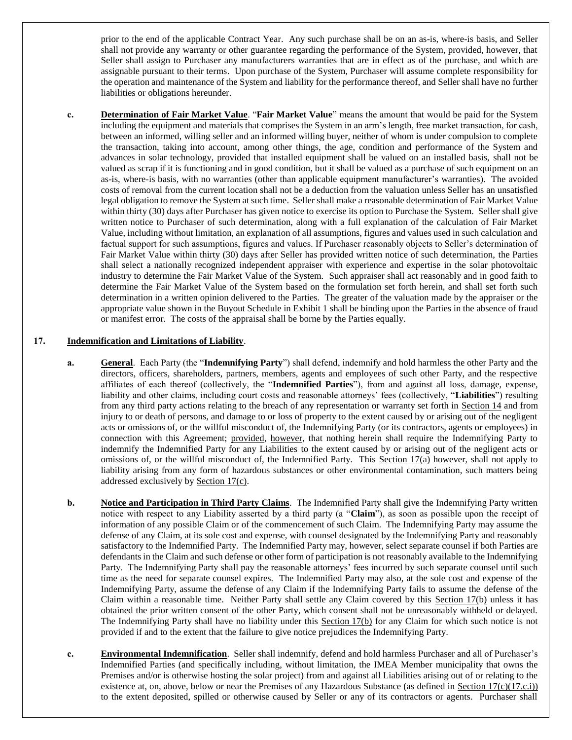prior to the end of the applicable Contract Year. Any such purchase shall be on an as-is, where-is basis, and Seller shall not provide any warranty or other guarantee regarding the performance of the System, provided, however, that Seller shall assign to Purchaser any manufacturers warranties that are in effect as of the purchase, and which are assignable pursuant to their terms. Upon purchase of the System, Purchaser will assume complete responsibility for the operation and maintenance of the System and liability for the performance thereof, and Seller shall have no further liabilities or obligations hereunder.

**c. Determination of Fair Market Value**. "**Fair Market Value**" means the amount that would be paid for the System including the equipment and materials that comprises the System in an arm's length, free market transaction, for cash, between an informed, willing seller and an informed willing buyer, neither of whom is under compulsion to complete the transaction, taking into account, among other things, the age, condition and performance of the System and advances in solar technology, provided that installed equipment shall be valued on an installed basis, shall not be valued as scrap if it is functioning and in good condition, but it shall be valued as a purchase of such equipment on an as-is, where-is basis, with no warranties (other than applicable equipment manufacturer's warranties). The avoided costs of removal from the current location shall not be a deduction from the valuation unless Seller has an unsatisfied legal obligation to remove the System at such time. Seller shall make a reasonable determination of Fair Market Value within thirty (30) days after Purchaser has given notice to exercise its option to Purchase the System. Seller shall give written notice to Purchaser of such determination, along with a full explanation of the calculation of Fair Market Value, including without limitation, an explanation of all assumptions, figures and values used in such calculation and factual support for such assumptions, figures and values. If Purchaser reasonably objects to Seller's determination of Fair Market Value within thirty (30) days after Seller has provided written notice of such determination, the Parties shall select a nationally recognized independent appraiser with experience and expertise in the solar photovoltaic industry to determine the Fair Market Value of the System. Such appraiser shall act reasonably and in good faith to determine the Fair Market Value of the System based on the formulation set forth herein, and shall set forth such determination in a written opinion delivered to the Parties. The greater of the valuation made by the appraiser or the appropriate value shown in the Buyout Schedule in Exhibit 1 shall be binding upon the Parties in the absence of fraud or manifest error. The costs of the appraisal shall be borne by the Parties equally.

#### <span id="page-14-1"></span><span id="page-14-0"></span>**17. Indemnification and Limitations of Liability**.

- **a. General**. Each Party (the "**Indemnifying Party**") shall defend, indemnify and hold harmless the other Party and the directors, officers, shareholders, partners, members, agents and employees of such other Party, and the respective affiliates of each thereof (collectively, the "**Indemnified Parties**"), from and against all loss, damage, expense, liability and other claims, including court costs and reasonable attorneys' fees (collectively, "**Liabilities**") resulting from any third party actions relating to the breach of any representation or warranty set forth in Sectio[n 14](#page-11-0) and from injury to or death of persons, and damage to or loss of property to the extent caused by or arising out of the negligent acts or omissions of, or the willful misconduct of, the Indemnifying Party (or its contractors, agents or employees) in connection with this Agreement; provided, however, that nothing herein shall require the Indemnifying Party to indemnify the Indemnified Party for any Liabilities to the extent caused by or arising out of the negligent acts or omissions of, or the willful misconduct of, the Indemnified Party. This Section [17](#page-14-0)[\(a\)](#page-14-1) however, shall not apply to liability arising from any form of hazardous substances or other environmental contamination, such matters being addressed exclusively by Section [17](#page-14-0)[\(c\)](#page-14-2).
- <span id="page-14-3"></span>**b. Notice and Participation in Third Party Claims**. The Indemnified Party shall give the Indemnifying Party written notice with respect to any Liability asserted by a third party (a "**Claim**"), as soon as possible upon the receipt of information of any possible Claim or of the commencement of such Claim. The Indemnifying Party may assume the defense of any Claim, at its sole cost and expense, with counsel designated by the Indemnifying Party and reasonably satisfactory to the Indemnified Party. The Indemnified Party may, however, select separate counsel if both Parties are defendants in the Claim and such defense or other form of participation is not reasonably available to the Indemnifying Party. The Indemnifying Party shall pay the reasonable attorneys' fees incurred by such separate counsel until such time as the need for separate counsel expires. The Indemnified Party may also, at the sole cost and expense of the Indemnifying Party, assume the defense of any Claim if the Indemnifying Party fails to assume the defense of the Claim within a reasonable time. Neither Party shall settle any Claim covered by this Section [17\(](#page-14-0)[b\)](#page-14-3) unless it has obtained the prior written consent of the other Party, which consent shall not be unreasonably withheld or delayed. The Indemnifying Party shall have no liability under this Section [17\(](#page-14-0)[b\)](#page-14-3) for any Claim for which such notice is not provided if and to the extent that the failure to give notice prejudices the Indemnifying Party.
- <span id="page-14-2"></span>**c. Environmental Indemnification**. Seller shall indemnify, defend and hold harmless Purchaser and all of Purchaser's Indemnified Parties (and specifically including, without limitation, the IMEA Member municipality that owns the Premises and/or is otherwise hosting the solar project) from and against all Liabilities arising out of or relating to the existence at, on, above, below or near the Premises of any Hazardous Substance (as defined in Section  $17(c)(17.c.i)$  $17(c)(17.c.i)$  $17(c)(17.c.i)$ ) to the extent deposited, spilled or otherwise caused by Seller or any of its contractors or agents. Purchaser shall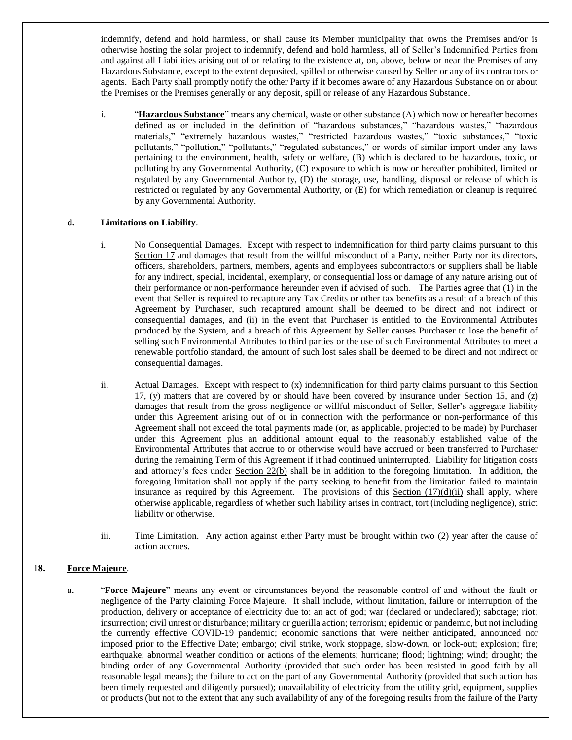indemnify, defend and hold harmless, or shall cause its Member municipality that owns the Premises and/or is otherwise hosting the solar project to indemnify, defend and hold harmless, all of Seller's Indemnified Parties from and against all Liabilities arising out of or relating to the existence at, on, above, below or near the Premises of any Hazardous Substance, except to the extent deposited, spilled or otherwise caused by Seller or any of its contractors or agents. Each Party shall promptly notify the other Party if it becomes aware of any Hazardous Substance on or about the Premises or the Premises generally or any deposit, spill or release of any Hazardous Substance.

<span id="page-15-0"></span>i. "**Hazardous Substance**" means any chemical, waste or other substance (A) which now or hereafter becomes defined as or included in the definition of "hazardous substances," "hazardous wastes," "hazardous materials," "extremely hazardous wastes," "restricted hazardous wastes," "toxic substances," "toxic pollutants," "pollution," "pollutants," "regulated substances," or words of similar import under any laws pertaining to the environment, health, safety or welfare, (B) which is declared to be hazardous, toxic, or polluting by any Governmental Authority, (C) exposure to which is now or hereafter prohibited, limited or regulated by any Governmental Authority, (D) the storage, use, handling, disposal or release of which is restricted or regulated by any Governmental Authority, or (E) for which remediation or cleanup is required by any Governmental Authority.

# <span id="page-15-1"></span>**d. Limitations on Liability**.

- i. No Consequential Damages. Except with respect to indemnification for third party claims pursuant to this Section 17 and damages that result from the willful misconduct of a Party, neither Party nor its directors, officers, shareholders, partners, members, agents and employees subcontractors or suppliers shall be liable for any indirect, special, incidental, exemplary, or consequential loss or damage of any nature arising out of their performance or non-performance hereunder even if advised of such. The Parties agree that (1) in the event that Seller is required to recapture any Tax Credits or other tax benefits as a result of a breach of this Agreement by Purchaser, such recaptured amount shall be deemed to be direct and not indirect or consequential damages, and (ii) in the event that Purchaser is entitled to the Environmental Attributes produced by the System, and a breach of this Agreement by Seller causes Purchaser to lose the benefit of selling such Environmental Attributes to third parties or the use of such Environmental Attributes to meet a renewable portfolio standard, the amount of such lost sales shall be deemed to be direct and not indirect or consequential damages.
- <span id="page-15-2"></span>ii. Actual Damages. Except with respect to (x) indemnification for third party claims pursuant to this Section  $17$ , (y) matters that are covered by or should have been covered by insurance under Section 15, and (z) damages that result from the gross negligence or willful misconduct of Seller, Seller's aggregate liability under this Agreement arising out of or in connection with the performance or non-performance of this Agreement shall not exceed the total payments made (or, as applicable, projected to be made) by Purchaser under this Agreement plus an additional amount equal to the reasonably established value of the Environmental Attributes that accrue to or otherwise would have accrued or been transferred to Purchaser during the remaining Term of this Agreement if it had continued uninterrupted. Liability for litigation costs and attorney's fees under Section 22(b) shall be in addition to the foregoing limitation. In addition, the foregoing limitation shall not apply if the party seeking to benefit from the limitation failed to maintain insurance as required by this Agreement. The provisions of this Section  $(17)(d)(ii)$  $(17)(d)(ii)$  $(17)(d)(ii)$  shall apply, where otherwise applicable, regardless of whether such liability arises in contract, tort (including negligence), strict liability or otherwise.
- iii. Time Limitation. Any action against either Party must be brought within two (2) year after the cause of action accrues.

### **18. Force Majeure**.

**a.** "**Force Majeure**" means any event or circumstances beyond the reasonable control of and without the fault or negligence of the Party claiming Force Majeure. It shall include, without limitation, failure or interruption of the production, delivery or acceptance of electricity due to: an act of god; war (declared or undeclared); sabotage; riot; insurrection; civil unrest or disturbance; military or guerilla action; terrorism; epidemic or pandemic, but not including the currently effective COVID-19 pandemic; economic sanctions that were neither anticipated, announced nor imposed prior to the Effective Date; embargo; civil strike, work stoppage, slow-down, or lock-out; explosion; fire; earthquake; abnormal weather condition or actions of the elements; hurricane; flood; lightning; wind; drought; the binding order of any Governmental Authority (provided that such order has been resisted in good faith by all reasonable legal means); the failure to act on the part of any Governmental Authority (provided that such action has been timely requested and diligently pursued); unavailability of electricity from the utility grid, equipment, supplies or products (but not to the extent that any such availability of any of the foregoing results from the failure of the Party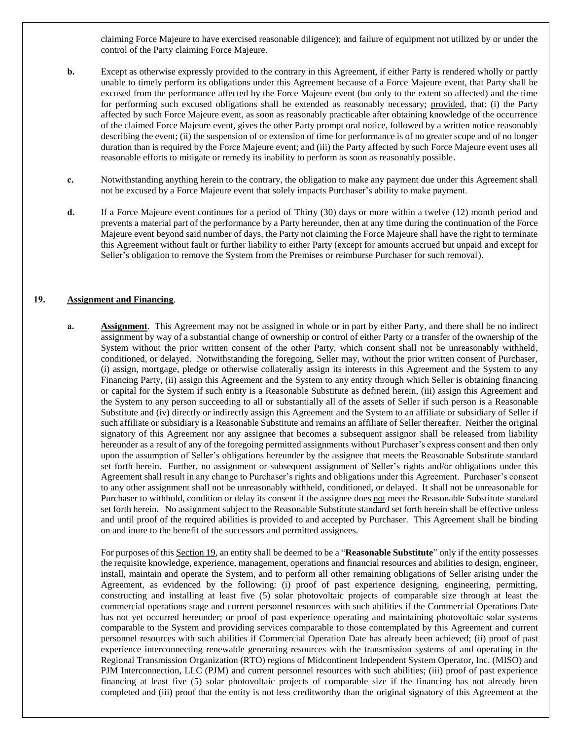claiming Force Majeure to have exercised reasonable diligence); and failure of equipment not utilized by or under the control of the Party claiming Force Majeure.

- **b.** Except as otherwise expressly provided to the contrary in this Agreement, if either Party is rendered wholly or partly unable to timely perform its obligations under this Agreement because of a Force Majeure event, that Party shall be excused from the performance affected by the Force Majeure event (but only to the extent so affected) and the time for performing such excused obligations shall be extended as reasonably necessary; provided, that: (i) the Party affected by such Force Majeure event, as soon as reasonably practicable after obtaining knowledge of the occurrence of the claimed Force Majeure event, gives the other Party prompt oral notice, followed by a written notice reasonably describing the event; (ii) the suspension of or extension of time for performance is of no greater scope and of no longer duration than is required by the Force Majeure event; and (iii) the Party affected by such Force Majeure event uses all reasonable efforts to mitigate or remedy its inability to perform as soon as reasonably possible.
- **c.** Notwithstanding anything herein to the contrary, the obligation to make any payment due under this Agreement shall not be excused by a Force Majeure event that solely impacts Purchaser's ability to make payment.
- **d.** If a Force Majeure event continues for a period of Thirty (30) days or more within a twelve (12) month period and prevents a material part of the performance by a Party hereunder, then at any time during the continuation of the Force Majeure event beyond said number of days, the Party not claiming the Force Majeure shall have the right to terminate this Agreement without fault or further liability to either Party (except for amounts accrued but unpaid and except for Seller's obligation to remove the System from the Premises or reimburse Purchaser for such removal).

### <span id="page-16-1"></span><span id="page-16-0"></span>**19. Assignment and Financing**.

**a. Assignment**. This Agreement may not be assigned in whole or in part by either Party, and there shall be no indirect assignment by way of a substantial change of ownership or control of either Party or a transfer of the ownership of the System without the prior written consent of the other Party, which consent shall not be unreasonably withheld, conditioned, or delayed. Notwithstanding the foregoing, Seller may, without the prior written consent of Purchaser, (i) assign, mortgage, pledge or otherwise collaterally assign its interests in this Agreement and the System to any Financing Party, (ii) assign this Agreement and the System to any entity through which Seller is obtaining financing or capital for the System if such entity is a Reasonable Substitute as defined herein, (iii) assign this Agreement and the System to any person succeeding to all or substantially all of the assets of Seller if such person is a Reasonable Substitute and (iv) directly or indirectly assign this Agreement and the System to an affiliate or subsidiary of Seller if such affiliate or subsidiary is a Reasonable Substitute and remains an affiliate of Seller thereafter. Neither the original signatory of this Agreement nor any assignee that becomes a subsequent assignor shall be released from liability hereunder as a result of any of the foregoing permitted assignments without Purchaser's express consent and then only upon the assumption of Seller's obligations hereunder by the assignee that meets the Reasonable Substitute standard set forth herein. Further, no assignment or subsequent assignment of Seller's rights and/or obligations under this Agreement shall result in any change to Purchaser's rights and obligations under this Agreement. Purchaser's consent to any other assignment shall not be unreasonably withheld, conditioned, or delayed. It shall not be unreasonable for Purchaser to withhold, condition or delay its consent if the assignee does not meet the Reasonable Substitute standard set forth herein. No assignment subject to the Reasonable Substitute standard set forth herein shall be effective unless and until proof of the required abilities is provided to and accepted by Purchaser. This Agreement shall be binding on and inure to the benefit of the successors and permitted assignees.

For purposes of this Section 19, an entity shall be deemed to be a "**Reasonable Substitute**" only if the entity possesses the requisite knowledge, experience, management, operations and financial resources and abilities to design, engineer, install, maintain and operate the System, and to perform all other remaining obligations of Seller arising under the Agreement, as evidenced by the following: (i) proof of past experience designing, engineering, permitting, constructing and installing at least five (5) solar photovoltaic projects of comparable size through at least the commercial operations stage and current personnel resources with such abilities if the Commercial Operations Date has not yet occurred hereunder; or proof of past experience operating and maintaining photovoltaic solar systems comparable to the System and providing services comparable to those contemplated by this Agreement and current personnel resources with such abilities if Commercial Operation Date has already been achieved; (ii) proof of past experience interconnecting renewable generating resources with the transmission systems of and operating in the Regional Transmission Organization (RTO) regions of Midcontinent Independent System Operator, Inc. (MISO) and PJM Interconnection, LLC (PJM) and current personnel resources with such abilities; (iii) proof of past experience financing at least five (5) solar photovoltaic projects of comparable size if the financing has not already been completed and (iii) proof that the entity is not less creditworthy than the original signatory of this Agreement at the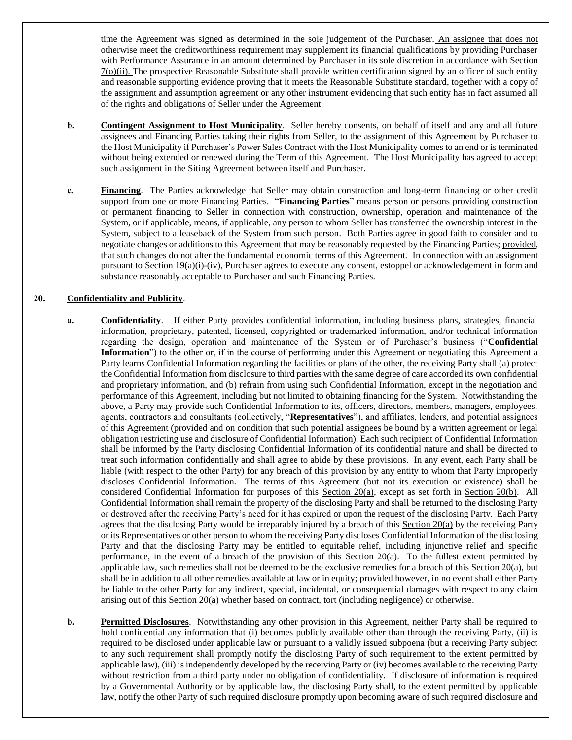time the Agreement was signed as determined in the sole judgement of the Purchaser. An assignee that does not otherwise meet the creditworthiness requirement may supplement its financial qualifications by providing Purchaser with Performance Assurance in an amount determined by Purchaser in its sole discretion in accordance with Section 7(o)(ii). The prospective Reasonable Substitute shall provide written certification signed by an officer of such entity and reasonable supporting evidence proving that it meets the Reasonable Substitute standard, together with a copy of the assignment and assumption agreement or any other instrument evidencing that such entity has in fact assumed all of the rights and obligations of Seller under the Agreement.

- **b. Contingent Assignment to Host Municipality**. Seller hereby consents, on behalf of itself and any and all future assignees and Financing Parties taking their rights from Seller, to the assignment of this Agreement by Purchaser to the Host Municipality if Purchaser's Power Sales Contract with the Host Municipality comes to an end or is terminated without being extended or renewed during the Term of this Agreement. The Host Municipality has agreed to accept such assignment in the Siting Agreement between itself and Purchaser.
- **c. Financing**. The Parties acknowledge that Seller may obtain construction and long-term financing or other credit support from one or more Financing Parties. "**Financing Parties**" means person or persons providing construction or permanent financing to Seller in connection with construction, ownership, operation and maintenance of the System, or if applicable, means, if applicable, any person to whom Seller has transferred the ownership interest in the System, subject to a leaseback of the System from such person. Both Parties agree in good faith to consider and to negotiate changes or additions to this Agreement that may be reasonably requested by the Financing Parties; provided, that such changes do not alter the fundamental economic terms of this Agreement. In connection with an assignment pursuant to Section [19\(](#page-16-1)a)(i)-(iv), Purchaser agrees to execute any consent, estoppel or acknowledgement in form and substance reasonably acceptable to Purchaser and such Financing Parties.

# <span id="page-17-1"></span><span id="page-17-0"></span>**20. Confidentiality and Publicity**.

- **a. Confidentiality**. If either Party provides confidential information, including business plans, strategies, financial information, proprietary, patented, licensed, copyrighted or trademarked information, and/or technical information regarding the design, operation and maintenance of the System or of Purchaser's business ("**Confidential Information**") to the other or, if in the course of performing under this Agreement or negotiating this Agreement a Party learns Confidential Information regarding the facilities or plans of the other, the receiving Party shall (a) protect the Confidential Information from disclosure to third parties with the same degree of care accorded its own confidential and proprietary information, and (b) refrain from using such Confidential Information, except in the negotiation and performance of this Agreement, including but not limited to obtaining financing for the System. Notwithstanding the above, a Party may provide such Confidential Information to its, officers, directors, members, managers, employees, agents, contractors and consultants (collectively, "**Representatives**"), and affiliates, lenders, and potential assignees of this Agreement (provided and on condition that such potential assignees be bound by a written agreement or legal obligation restricting use and disclosure of Confidential Information). Each such recipient of Confidential Information shall be informed by the Party disclosing Confidential Information of its confidential nature and shall be directed to treat such information confidentially and shall agree to abide by these provisions. In any event, each Party shall be liable (with respect to the other Party) for any breach of this provision by any entity to whom that Party improperly discloses Confidential Information. The terms of this Agreement (but not its execution or existence) shall be considered Confidential Information for purposes of this Section [20](#page-17-0)[\(a\)](#page-17-1), except as set forth in Section [20\(](#page-17-0)[b\)](#page-17-2). All Confidential Information shall remain the property of the disclosing Party and shall be returned to the disclosing Party or destroyed after the receiving Party's need for it has expired or upon the request of the disclosing Party. Each Party agrees that the disclosing Party would be irreparably injured by a breach of this Section [20\(](#page-17-0)[a\)](#page-17-1) by the receiving Party or its Representatives or other person to whom the receiving Party discloses Confidential Information of the disclosing Party and that the disclosing Party may be entitled to equitable relief, including injunctive relief and specific performance, in the event of a breach of the provision of this Section [20](#page-17-0)[\(a\)](#page-17-1). To the fullest extent permitted by applicable law, such remedies shall not be deemed to be the exclusive remedies for a breach of this Section [20](#page-17-0)[\(a\)](#page-17-1), but shall be in addition to all other remedies available at law or in equity; provided however, in no event shall either Party be liable to the other Party for any indirect, special, incidental, or consequential damages with respect to any claim arising out of this  $Section 20(a)$  whether based on contract, tort (including negligence) or otherwise.
- <span id="page-17-2"></span>**b. Permitted Disclosures**. Notwithstanding any other provision in this Agreement, neither Party shall be required to hold confidential any information that (i) becomes publicly available other than through the receiving Party, (ii) is required to be disclosed under applicable law or pursuant to a validly issued subpoena (but a receiving Party subject to any such requirement shall promptly notify the disclosing Party of such requirement to the extent permitted by applicable law), (iii) is independently developed by the receiving Party or (iv) becomes available to the receiving Party without restriction from a third party under no obligation of confidentiality. If disclosure of information is required by a Governmental Authority or by applicable law, the disclosing Party shall, to the extent permitted by applicable law, notify the other Party of such required disclosure promptly upon becoming aware of such required disclosure and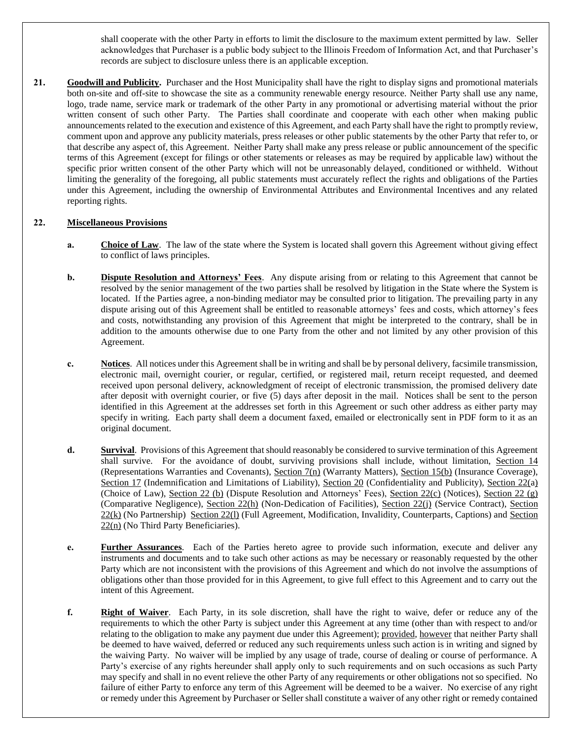shall cooperate with the other Party in efforts to limit the disclosure to the maximum extent permitted by law. Seller acknowledges that Purchaser is a public body subject to the Illinois Freedom of Information Act, and that Purchaser's records are subject to disclosure unless there is an applicable exception.

21. **Goodwill and Publicity.** Purchaser and the Host Municipality shall have the right to display signs and promotional materials both on-site and off-site to showcase the site as a community renewable energy resource. Neither Party shall use any name, logo, trade name, service mark or trademark of the other Party in any promotional or advertising material without the prior written consent of such other Party. The Parties shall coordinate and cooperate with each other when making public announcements related to the execution and existence of this Agreement, and each Party shall have the right to promptly review, comment upon and approve any publicity materials, press releases or other public statements by the other Party that refer to, or that describe any aspect of, this Agreement. Neither Party shall make any press release or public announcement of the specific terms of this Agreement (except for filings or other statements or releases as may be required by applicable law) without the specific prior written consent of the other Party which will not be unreasonably delayed, conditioned or withheld. Without limiting the generality of the foregoing, all public statements must accurately reflect the rights and obligations of the Parties under this Agreement, including the ownership of Environmental Attributes and Environmental Incentives and any related reporting rights.

# <span id="page-18-1"></span><span id="page-18-0"></span>**22. Miscellaneous Provisions**

- **a. Choice of Law**. The law of the state where the System is located shall govern this Agreement without giving effect to conflict of laws principles.
- <span id="page-18-2"></span>**b. Dispute Resolution and Attorneys' Fees**. Any dispute arising from or relating to this Agreement that cannot be resolved by the senior management of the two parties shall be resolved by litigation in the State where the System is located. If the Parties agree, a non-binding mediator may be consulted prior to litigation. The prevailing party in any dispute arising out of this Agreement shall be entitled to reasonable attorneys' fees and costs, which attorney's fees and costs, notwithstanding any provision of this Agreement that might be interpreted to the contrary, shall be in addition to the amounts otherwise due to one Party from the other and not limited by any other provision of this Agreement.
- <span id="page-18-3"></span>**c. Notices**. All notices under this Agreement shall be in writing and shall be by personal delivery, facsimile transmission, electronic mail, overnight courier, or regular, certified, or registered mail, return receipt requested, and deemed received upon personal delivery, acknowledgment of receipt of electronic transmission, the promised delivery date after deposit with overnight courier, or five (5) days after deposit in the mail. Notices shall be sent to the person identified in this Agreement at the addresses set forth in this Agreement or such other address as either party may specify in writing. Each party shall deem a document faxed, emailed or electronically sent in PDF form to it as an original document.
- **d. Survival**. Provisions of this Agreement that should reasonably be considered to survive termination of this Agreement shall survive. For the avoidance of doubt, surviving provisions shall include, without limitation, Section 14 (Representations Warranties and Covenants), Section 7(n) (Warranty Matters), Section [15](#page-12-0)[\(b\)](#page-12-1) (Insurance Coverage), Section [17](#page-14-0) (Indemnification and Limitations of Liability), Section [20](#page-17-0) (Confidentiality and Publicity), Section [22](#page-18-0)[\(a\)](#page-18-1) (Choice of Law), Section [22](#page-18-0) [\(b\)](#page-18-2) (Dispute Resolution and Attorneys' Fees), Section [22\(](#page-18-0)[c\)](#page-18-3) (Notices), Section 22 [\(g\)](#page-19-0) (Comparative Negligence), Section [22](#page-18-0)[\(h\)](#page-19-1) (Non-Dedication of Facilities), Section [22\(](#page-18-0)[j\)](#page-19-2) (Service Contract), Section [22](#page-18-0)[\(k\)](#page-19-3) (No Partnership) Sectio[n 22\(](#page-18-0)[l\)](#page-19-4) (Full Agreement, Modification, Invalidity, Counterparts, Captions) and Section [22](#page-18-0)[\(n\)](#page-19-5) (No Third Party Beneficiaries).
- **e. Further Assurances**. Each of the Parties hereto agree to provide such information, execute and deliver any instruments and documents and to take such other actions as may be necessary or reasonably requested by the other Party which are not inconsistent with the provisions of this Agreement and which do not involve the assumptions of obligations other than those provided for in this Agreement, to give full effect to this Agreement and to carry out the intent of this Agreement.
- **f. Right of Waiver**. Each Party, in its sole discretion, shall have the right to waive, defer or reduce any of the requirements to which the other Party is subject under this Agreement at any time (other than with respect to and/or relating to the obligation to make any payment due under this Agreement); provided, however that neither Party shall be deemed to have waived, deferred or reduced any such requirements unless such action is in writing and signed by the waiving Party. No waiver will be implied by any usage of trade, course of dealing or course of performance. A Party's exercise of any rights hereunder shall apply only to such requirements and on such occasions as such Party may specify and shall in no event relieve the other Party of any requirements or other obligations not so specified. No failure of either Party to enforce any term of this Agreement will be deemed to be a waiver. No exercise of any right or remedy under this Agreement by Purchaser or Seller shall constitute a waiver of any other right or remedy contained